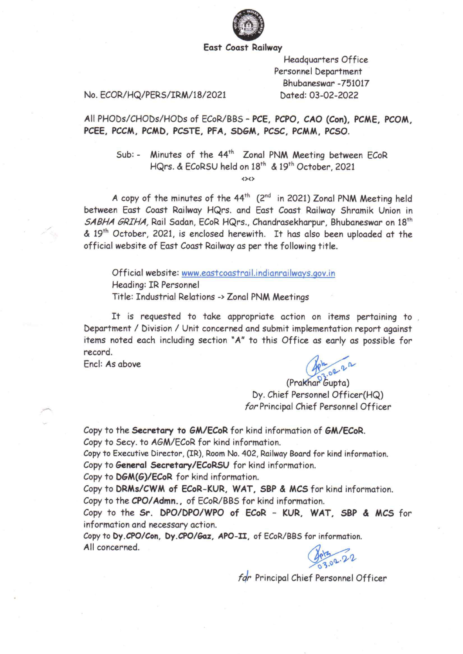

#### **East Coast Railway**

**Headquarters Office** Personnel Department Bhubaneswar-751017 Dated: 03-02-2022

#### No. ECOR/HQ/PERS/IRM/18/2021

All PHODs/CHODs/HODs of ECoR/BBS - PCE, PCPO, CAO (Con), PCME, PCOM, PCEE, PCCM, PCMD, PCSTE, PFA, SDGM, PCSC, PCMM, PCSO.

Minutes of the 44<sup>th</sup> Zonal PNM Meeting between ECoR  $Sub: -$ HQrs. & ECoRSU held on 18th & 19th October, 2021

 $(30)$ 

A copy of the minutes of the 44<sup>th</sup> (2<sup>nd</sup> in 2021) Zonal PNM Meeting held between East Coast Railway HQrs. and East Coast Railway Shramik Union in SABHA GRIHA, Rail Sadan, ECoR HQrs., Chandrasekharpur, Bhubaneswar on 18<sup>th</sup> & 19th October, 2021, is enclosed herewith. It has also been uploaded at the official website of East Coast Railway as per the following title.

Official website: www.eastcoastrail.indianrailways.gov.in Heading: IR Personnel Title: Industrial Relations -> Zonal PNM Meetings

It is requested to take appropriate action on items pertaining to Department / Division / Unit concerned and submit implementation report against items noted each including section "A" to this Office as early as possible for record.

Encl: As above

(Prakhar Gupta)

Dy. Chief Personnel Officer(HQ) for Principal Chief Personnel Officer

Copy to the Secretary to GM/ECoR for kind information of GM/ECoR. Copy to Secy. to AGM/ECoR for kind information.

Copy to Executive Director, (IR), Room No. 402, Railway Board for kind information. Copy to General Secretary/ECoRSU for kind information.

Copy to DGM(G)/ECoR for kind information.

Copy to DRMs/CWM of ECoR-KUR, WAT, SBP & MCS for kind information. Copy to the CPO/Admn., of ECoR/BBS for kind information.

Copy to the Sr. DPO/DPO/WPO of ECoR - KUR, WAT, SBP & MCS for information and necessary action.

Copy to Dy.CPO/Con, Dy.CPO/Gaz, APO-II, of ECoR/BBS for information. All concerned.

803.02.22

far Principal Chief Personnel Officer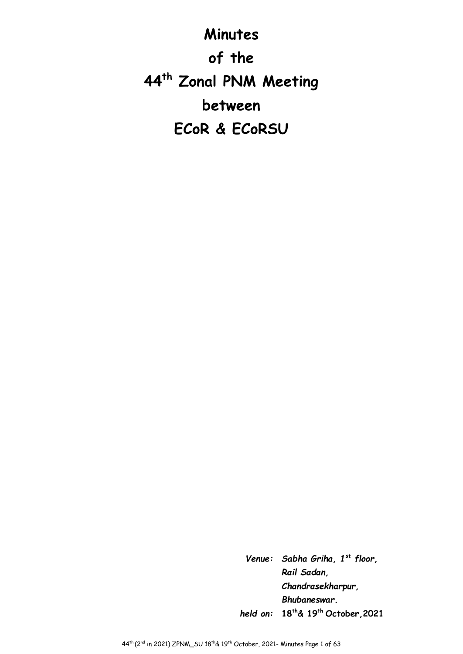**Minutes of the 44th Zonal PNM Meeting between ECoR & ECoRSU**

> *Venue: Sabha Griha, 1st floor, Rail Sadan, Chandrasekharpur, Bhubaneswar. held on:* **18th& 19th October,2021**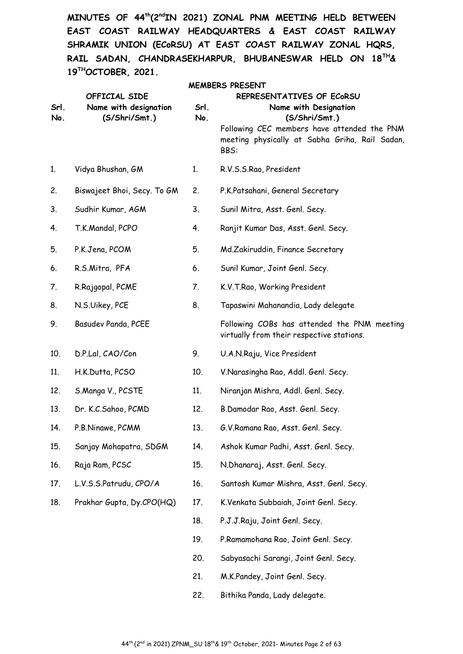**MINUTES OF 44th(2ndIN 2021) ZONAL PNM MEETING HELD BETWEEN EAST COAST RAILWAY HEADQUARTERS & EAST COAST RAILWAY SHRAMIK UNION (ECoRSU) AT EAST COAST RAILWAY ZONAL HQRS, RAIL SADAN, CHANDRASEKHARPUR, BHUBANESWAR HELD ON 18TH& 19THOCTOBER, 2021.** 

| Srl.<br>No. | OFFICIAL SIDE<br>Name with designation<br>(S/Shri/Smt.) | Srl.<br>No. | <b>MEMBERS PRESENT</b><br>REPRESENTATIVES OF ECORSU<br>Name with Designation<br>(S/Shri/Smt.)<br>Following CEC members have attended the PNM<br>meeting physically at Sabha Griha, Rail Sadan,<br>BBS: |
|-------------|---------------------------------------------------------|-------------|--------------------------------------------------------------------------------------------------------------------------------------------------------------------------------------------------------|
| 1.          | Vidya Bhushan, GM                                       | 1.          | R.V.S.S.Rao, President                                                                                                                                                                                 |
| 2.          | Biswajeet Bhoi, Secy. To GM                             | 2.          | P.K.Patsahani, General Secretary                                                                                                                                                                       |
| 3.          | Sudhir Kumar, AGM                                       | 3.          | Sunil Mitra, Asst. Genl. Secy.                                                                                                                                                                         |
| 4.          | T.K.Mandal, PCPO                                        | 4.          | Ranjit Kumar Das, Asst. Genl. Secy.                                                                                                                                                                    |
| 5.          | P.K.Jena, PCOM                                          | 5.          | Md.Zakiruddin, Finance Secretary                                                                                                                                                                       |
| 6.          | R.S.Mitra, PFA                                          | 6.          | Sunil Kumar, Joint Genl. Secy.                                                                                                                                                                         |
| 7.          | R.Rajgopal, PCME                                        | 7.          | K.V.T.Rao, Working President                                                                                                                                                                           |
| 8.          | N.S.Uikey, PCE                                          | 8.          | Tapaswini Mahanandia, Lady delegate                                                                                                                                                                    |
| 9.          | Basudev Panda, PCEE                                     |             | Following COBs has attended the PNM meeting<br>virtually from their respective stations.                                                                                                               |
| 10.         | D.P.Lal, CAO/Con                                        | 9.          | U.A.N.Raju, Vice President                                                                                                                                                                             |
| 11.         | H.K.Dutta, PCSO                                         | 10.         | V.Narasingha Rao, Addl. Genl. Secy.                                                                                                                                                                    |
| 12.         | S.Manga V., PCSTE                                       | 11.         | Niranjan Mishra, Addl. Genl. Secy.                                                                                                                                                                     |
| 13.         | Dr. K.C.Sahoo, PCMD                                     | 12.         | B.Damodar Rao, Asst. Genl. Secy.                                                                                                                                                                       |
| 14.         | P.B.Ninawe, PCMM                                        | 13.         | G.V.Ramana Rao, Asst. Genl. Secy.                                                                                                                                                                      |
| 15.         | Sanjay Mohapatra, SDGM                                  | 14.         | Ashok Kumar Padhi, Asst. Genl. Secy.                                                                                                                                                                   |
| 16.         | Raja Ram, PCSC                                          | 15.         | N.Dhanaraj, Asst. Genl. Secy.                                                                                                                                                                          |
| 17.         | L.V.S.S.Patrudu, CPO/A                                  | 16.         | Santosh Kumar Mishra, Asst. Genl. Secy.                                                                                                                                                                |
| 18.         | Prakhar Gupta, Dy.CPO(HQ)                               | 17.         | K.Venkata Subbaiah, Joint Genl. Secy.                                                                                                                                                                  |
|             |                                                         | 18.         | P.J.J.Raju, Joint Genl. Secy.                                                                                                                                                                          |
|             |                                                         | 19.         | P.Ramamohana Rao, Joint Genl. Secy.                                                                                                                                                                    |
|             |                                                         | 20.         | Sabyasachi Sarangi, Joint Genl. Secy.                                                                                                                                                                  |
|             |                                                         | 21.         | M.K.Pandey, Joint Genl. Secy.                                                                                                                                                                          |
|             |                                                         | 22.         | Bithika Panda, Lady delegate.                                                                                                                                                                          |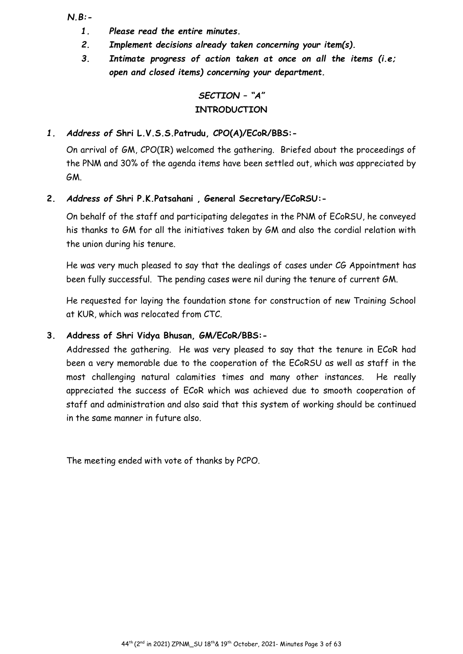*N.B:-* 

- *1. Please read the entire minutes.*
- *2. Implement decisions already taken concerning your item(s).*
- *3. Intimate progress of action taken at once on all the items (i.e; open and closed items) concerning your department.*

# *SECTION – "A"* **INTRODUCTION**

# *1. Address of* **Shri L.V.S.S.Patrudu, CPO(A)/ECoR/BBS:-**

On arrival of GM, CPO(IR) welcomed the gathering. Briefed about the proceedings of the PNM and 30% of the agenda items have been settled out, which was appreciated by GM.

# **2.** *Address of* **Shri P.K.Patsahani , General Secretary/ECoRSU:-**

On behalf of the staff and participating delegates in the PNM of ECoRSU, he conveyed his thanks to GM for all the initiatives taken by GM and also the cordial relation with the union during his tenure.

He was very much pleased to say that the dealings of cases under CG Appointment has been fully successful. The pending cases were nil during the tenure of current GM.

He requested for laying the foundation stone for construction of new Training School at KUR, which was relocated from CTC.

# **3. Address of Shri Vidya Bhusan, GM/ECoR/BBS:-**

Addressed the gathering. He was very pleased to say that the tenure in ECoR had been a very memorable due to the cooperation of the ECoRSU as well as staff in the most challenging natural calamities times and many other instances. He really appreciated the success of ECoR which was achieved due to smooth cooperation of staff and administration and also said that this system of working should be continued in the same manner in future also.

The meeting ended with vote of thanks by PCPO.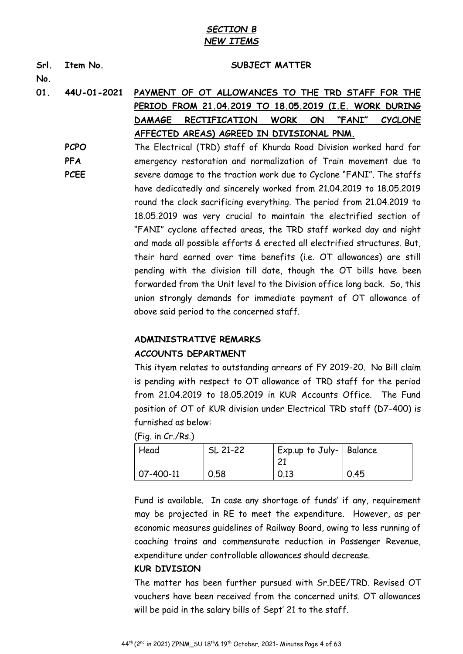# *SECTION B NEW ITEMS*

| Srl.<br>No. | Item No.    | SUBJECT MATTER                                                                         |
|-------------|-------------|----------------------------------------------------------------------------------------|
| 01.         | 44U-01-2021 | PAYMENT OF OT ALLOWANCES TO THE TRD STAFF FOR THE                                      |
|             |             | PERIOD FROM 21.04.2019 TO 18.05.2019 (I.E. WORK DURING                                 |
|             |             | <b>WORK</b><br>ON<br>"FANI"<br><b>DAMAGE</b><br><b>RECTIFICATION</b><br><b>CYCLONE</b> |
|             |             | AFFECTED AREAS) AGREED IN DIVISIONAL PNM.                                              |
|             | <b>PCPO</b> | The Electrical (TRD) staff of Khurda Road Division worked hard for                     |
|             | <b>PFA</b>  | emergency restoration and normalization of Train movement due to                       |
|             | <b>PCEE</b> | severe damage to the traction work due to Cyclone "FANI". The staffs                   |
|             |             | have dedicatedly and sincerely worked from 21.04.2019 to 18.05.2019                    |
|             |             | round the clock sacrificing everything. The period from 21.04.2019 to                  |
|             |             | 18.05.2019 was very crucial to maintain the electrified section of                     |
|             |             | "FANI" cyclone affected areas, the TRD staff worked day and night                      |
|             |             | and made all possible efforts & erected all electrified structures. But,               |
|             |             | their hard earned over time benefits (i.e. OT allowances) are still                    |
|             |             | pending with the division till date, though the OT bills have been                     |
|             |             | forwarded from the Unit level to the Division office long back. So, this               |
|             |             | union strongly demands for immediate payment of OT allowance of                        |
|             |             | above said period to the concerned staff.                                              |

#### **ADMINISTRATIVE REMARKS**

#### **ACCOUNTS DEPARTMENT**

This ityem relates to outstanding arrears of FY 2019-20. No Bill claim is pending with respect to OT allowance of TRD staff for the period from 21.04.2019 to 18.05.2019 in KUR Accounts Office. The Fund position of OT of KUR division under Electrical TRD staff (D7-400) is furnished as below:

(Fig. in Cr./Rs.)

| Head      | SL 21-22 | ' Exp.up to July-   Balance<br>ົ |      |
|-----------|----------|----------------------------------|------|
| 07-400-11 | 0.58     | 0.13                             | 0.45 |

Fund is available. In case any shortage of funds' if any, requirement may be projected in RE to meet the expenditure. However, as per economic measures guidelines of Railway Board, owing to less running of coaching trains and commensurate reduction in Passenger Revenue, expenditure under controllable allowances should decrease.

#### **KUR DIVISION**

The matter has been further pursued with Sr.DEE/TRD. Revised OT vouchers have been received from the concerned units. OT allowances will be paid in the salary bills of Sept' 21 to the staff.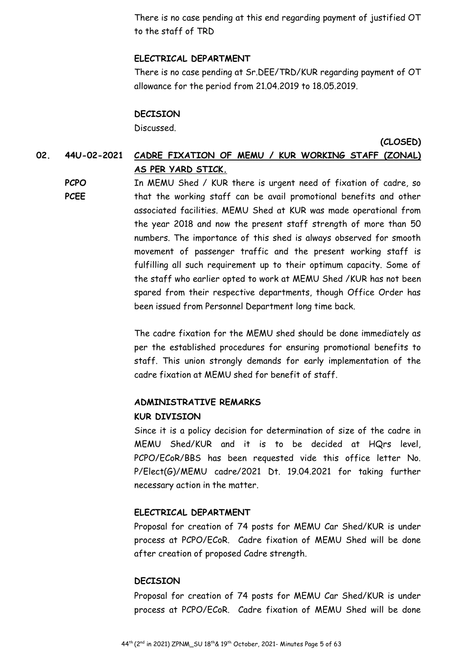There is no case pending at this end regarding payment of justified OT to the staff of TRD

## **ELECTRICAL DEPARTMENT**

There is no case pending at Sr.DEE/TRD/KUR regarding payment of OT allowance for the period from 21.04.2019 to 18.05.2019.

#### **DECISION**

Discussed.

**(CLOSED)** 

# **02. 44U-02-2021 CADRE FIXATION OF MEMU / KUR WORKING STAFF (ZONAL) AS PER YARD STICK.**

**PCPO PCEE**  In MEMU Shed / KUR there is urgent need of fixation of cadre, so that the working staff can be avail promotional benefits and other associated facilities. MEMU Shed at KUR was made operational from the year 2018 and now the present staff strength of more than 50 numbers. The importance of this shed is always observed for smooth movement of passenger traffic and the present working staff is fulfilling all such requirement up to their optimum capacity. Some of the staff who earlier opted to work at MEMU Shed /KUR has not been spared from their respective departments, though Office Order has been issued from Personnel Department long time back.

The cadre fixation for the MEMU shed should be done immediately as per the established procedures for ensuring promotional benefits to staff. This union strongly demands for early implementation of the cadre fixation at MEMU shed for benefit of staff.

#### **ADMINISTRATIVE REMARKS**

#### **KUR DIVISION**

Since it is a policy decision for determination of size of the cadre in MEMU Shed/KUR and it is to be decided at HQrs level, PCPO/ECoR/BBS has been requested vide this office letter No. P/Elect(G)/MEMU cadre/2021 Dt. 19.04.2021 for taking further necessary action in the matter.

#### **ELECTRICAL DEPARTMENT**

Proposal for creation of 74 posts for MEMU Car Shed/KUR is under process at PCPO/ECoR. Cadre fixation of MEMU Shed will be done after creation of proposed Cadre strength.

#### **DECISION**

Proposal for creation of 74 posts for MEMU Car Shed/KUR is under process at PCPO/ECoR. Cadre fixation of MEMU Shed will be done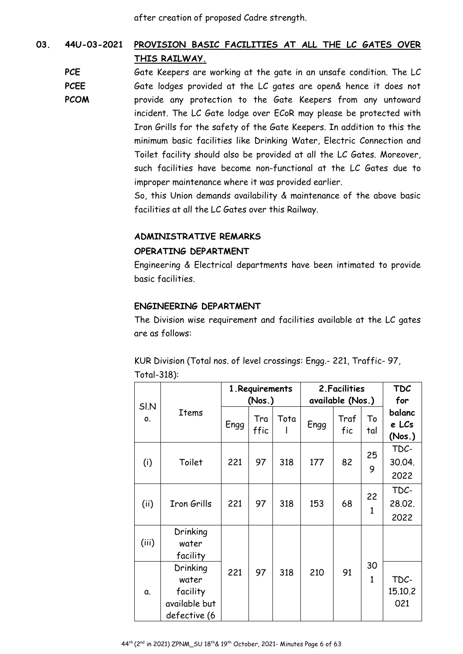after creation of proposed Cadre strength.

# **03. 44U-03-2021 PROVISION BASIC FACILITIES AT ALL THE LC GATES OVER THIS RAILWAY.**

**PCE PCEE** 

**PCOM** 

Gate Keepers are working at the gate in an unsafe condition. The LC Gate lodges provided at the LC gates are open& hence it does not provide any protection to the Gate Keepers from any untoward incident. The LC Gate lodge over ECoR may please be protected with Iron Grills for the safety of the Gate Keepers. In addition to this the minimum basic facilities like Drinking Water, Electric Connection and Toilet facility should also be provided at all the LC Gates. Moreover, such facilities have become non-functional at the LC Gates due to improper maintenance where it was provided earlier.

> So, this Union demands availability & maintenance of the above basic facilities at all the LC Gates over this Railway.

# **ADMINISTRATIVE REMARKS**

## **OPERATING DEPARTMENT**

Engineering & Electrical departments have been intimated to provide basic facilities.

# **ENGINEERING DEPARTMENT**

The Division wise requirement and facilities available at the LC gates are as follows:

KUR Division (Total nos. of level crossings: Engg.- 221, Traffic- 97, Total-318):

|                       |                                                                |      | 1. Requirements<br>(Nos.) |      | 2. Facilities<br>available (Nos.) | <b>TDC</b><br>for |                    |                           |
|-----------------------|----------------------------------------------------------------|------|---------------------------|------|-----------------------------------|-------------------|--------------------|---------------------------|
| SI <sub>N</sub><br>0. | Items                                                          | Engg | Tra<br>ffic               | Tota | Engg                              | Traf<br>fic       | То<br>tal          | balanc<br>e LCs<br>(Nos.) |
| (i)                   | Toilet                                                         | 221  | 97                        | 318  | 177                               | 82                | 25<br>9            | TDC-<br>30.04.<br>2022    |
| (ii)                  | <b>Iron Grills</b>                                             | 221  | 97                        | 318  | 153                               | 68                | 22<br>$\mathbf{1}$ | TDC-<br>28.02.<br>2022    |
| (iii)                 | Drinking<br>water<br>facility                                  |      |                           |      |                                   |                   |                    |                           |
| α.                    | Drinking<br>water<br>facility<br>available but<br>defective (6 | 221  | 97                        | 318  | 210                               | 91                | 30<br>$\mathbf{1}$ | TDC-<br>15.10.2<br>021    |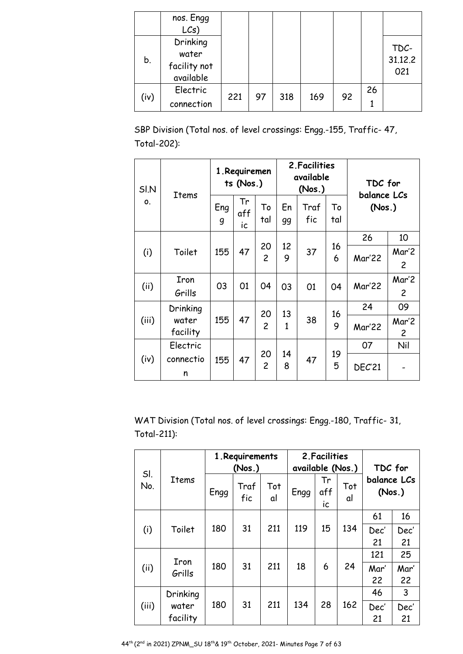|      | nos. Engg<br>$LCs$ )                           |     |    |     |     |    |    |                        |
|------|------------------------------------------------|-----|----|-----|-----|----|----|------------------------|
| b.   | Drinking<br>water<br>facility not<br>available |     |    |     |     |    |    | TDC-<br>31.12.2<br>021 |
| (iv) | Electric<br>connection                         | 221 | 97 | 318 | 169 | 92 | 26 |                        |

SBP Division (Total nos. of level crossings: Engg.-155, Traffic- 47, Total-202):

| SI.N<br>Items |           | 1. Requiremen<br>ts (Nos.) |                 |                      | 2. Facilities<br>available<br>(Nos.) |             |           | TDC for<br>balance LCs |                |
|---------------|-----------|----------------------------|-----------------|----------------------|--------------------------------------|-------------|-----------|------------------------|----------------|
| 0.            |           | Eng<br>g                   | Tr<br>aff<br>ic | To<br>tal            | En<br>99                             | Traf<br>fic | Т٥<br>tal | (Nos.)                 |                |
|               |           |                            |                 |                      |                                      |             |           | 26                     | 10             |
| (i)           | Toilet    | 155                        | 47              | 20<br>$\overline{c}$ | 12<br>9                              | 37          | 16<br>6   | Mar'22                 | Mar'2          |
|               |           |                            |                 |                      |                                      |             |           |                        | $\overline{2}$ |
| (ii)          | Iron      | 03                         | 01              | 04                   | 03                                   | 01          | 04        | Mar'22                 | Mar'2          |
|               | Grills    |                            |                 |                      |                                      |             |           |                        | $\overline{2}$ |
|               | Drinking  |                            |                 | 20                   | 13                                   |             | 16        | 24                     | 09             |
| (iii)         | water     | 155                        | 47              | $\overline{c}$       | $\mathbf{1}$                         | 38          | 9         | Mar'22                 | Mar'2          |
|               | facility  |                            |                 |                      |                                      |             |           |                        | $\overline{2}$ |
|               | Electric  |                            |                 | 20                   | 14                                   |             | 19        | 07                     | Nil            |
| (iv)          | connectio | 155                        | 47              | $\overline{c}$       | 8                                    | 47          | 5         | <b>DEC'21</b>          |                |
|               | n         |                            |                 |                      |                                      |             |           |                        |                |

WAT Division (Total nos. of level crossings: Engg.-180, Traffic- 31, Total-211):

| SI.   |              | 1. Requirements<br>(Nos.) |             |           | 2. Facilities<br>available (Nos.) |                 |           | TDC for               |      |
|-------|--------------|---------------------------|-------------|-----------|-----------------------------------|-----------------|-----------|-----------------------|------|
| No.   | <b>Items</b> | Engg                      | Traf<br>fic | Tot<br>al | Engg                              | Tr<br>aff<br>İC | Tot<br>al | balance LCs<br>(Nos.) |      |
|       |              |                           |             |           |                                   |                 |           | 61                    | 16   |
| (i)   | Toilet       | 180                       | 31          | 211       | 119                               | 15              | 134       | Dec'                  | Dec' |
|       |              |                           |             |           |                                   |                 |           | 21                    | 21   |
|       | Iron         |                           |             |           |                                   |                 |           | 121                   | 25   |
| (ii)  | Grills       | 180                       | 31          | 211       | 18                                | 6               | 24        | Mar'                  | Mar' |
|       |              |                           |             |           |                                   |                 |           | 22                    | 22   |
|       | Drinking     |                           |             |           |                                   |                 |           | 46                    | 3    |
| (iii) | water        | 180                       | 31          | 211       | 134                               | 28              | 162       | Dec'                  | Dec' |
|       | facility     |                           |             |           |                                   |                 |           | 21                    | 21   |

44th (2nd in 2021) ZPNM\_SU 18th& 19th October, 2021- Minutes Page 7 of 63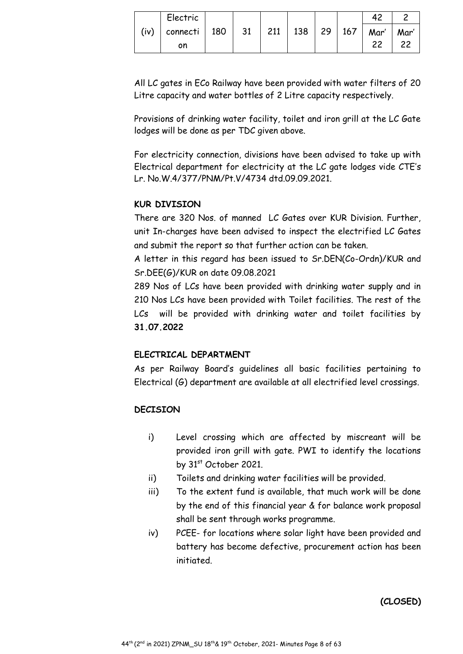|      | Electric |     |    |     |     |                 |     |      |      |
|------|----------|-----|----|-----|-----|-----------------|-----|------|------|
| (iv) | connecti | 180 | 31 | 211 | 138 | 29 <sup>1</sup> | 167 | Mar' | Mar' |
|      | on       |     |    |     |     |                 |     | າາ   |      |

All LC gates in ECo Railway have been provided with water filters of 20 Litre capacity and water bottles of 2 Litre capacity respectively.

Provisions of drinking water facility, toilet and iron grill at the LC Gate lodges will be done as per TDC given above.

For electricity connection, divisions have been advised to take up with Electrical department for electricity at the LC gate lodges vide CTE's Lr. No.W.4/377/PNM/Pt.V/4734 dtd.09.09.2021.

# **KUR DIVISION**

There are 320 Nos. of manned LC Gates over KUR Division. Further, unit In-charges have been advised to inspect the electrified LC Gates and submit the report so that further action can be taken.

A letter in this regard has been issued to Sr.DEN(Co-Ordn)/KUR and Sr.DEE(G)/KUR on date 09.08.2021

289 Nos of LCs have been provided with drinking water supply and in 210 Nos LCs have been provided with Toilet facilities. The rest of the LCs will be provided with drinking water and toilet facilities by **31.07.2022** 

# **ELECTRICAL DEPARTMENT**

As per Railway Board's guidelines all basic facilities pertaining to Electrical (G) department are available at all electrified level crossings.

# **DECISION**

- i) Level crossing which are affected by miscreant will be provided iron grill with gate. PWI to identify the locations by 31st October 2021.
- ii) Toilets and drinking water facilities will be provided.
- iii) To the extent fund is available, that much work will be done by the end of this financial year & for balance work proposal shall be sent through works programme.
- iv) PCEE- for locations where solar light have been provided and battery has become defective, procurement action has been initiated.

**(CLOSED)**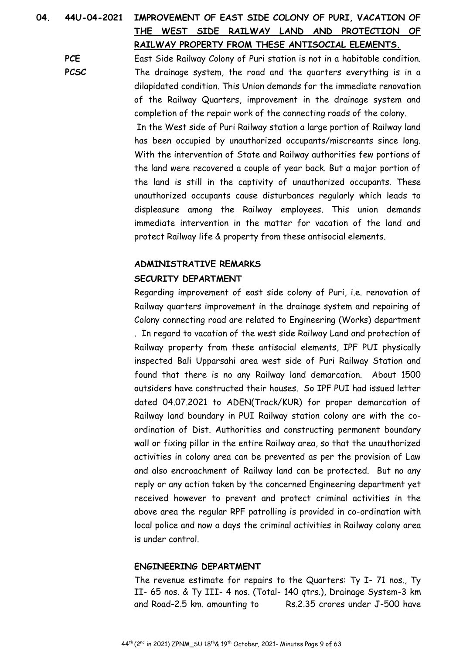# **04. 44U-04-2021 IMPROVEMENT OF EAST SIDE COLONY OF PURI, VACATION OF THE WEST SIDE RAILWAY LAND AND PROTECTION OF RAILWAY PROPERTY FROM THESE ANTISOCIAL ELEMENTS.**

**PCE PCSC**  East Side Railway Colony of Puri station is not in a habitable condition. The drainage system, the road and the quarters everything is in a dilapidated condition. This Union demands for the immediate renovation of the Railway Quarters, improvement in the drainage system and completion of the repair work of the connecting roads of the colony.

> In the West side of Puri Railway station a large portion of Railway land has been occupied by unauthorized occupants/miscreants since long. With the intervention of State and Railway authorities few portions of the land were recovered a couple of year back. But a major portion of the land is still in the captivity of unauthorized occupants. These unauthorized occupants cause disturbances regularly which leads to displeasure among the Railway employees. This union demands immediate intervention in the matter for vacation of the land and protect Railway life & property from these antisocial elements.

# **ADMINISTRATIVE REMARKS SECURITY DEPARTMENT**

Regarding improvement of east side colony of Puri, i.e. renovation of Railway quarters improvement in the drainage system and repairing of Colony connecting road are related to Engineering (Works) department . In regard to vacation of the west side Railway Land and protection of Railway property from these antisocial elements, IPF PUI physically inspected Bali Upparsahi area west side of Puri Railway Station and found that there is no any Railway land demarcation. About 1500 outsiders have constructed their houses. So IPF PUI had issued letter dated 04.07.2021 to ADEN(Track/KUR) for proper demarcation of Railway land boundary in PUI Railway station colony are with the coordination of Dist. Authorities and constructing permanent boundary wall or fixing pillar in the entire Railway area, so that the unauthorized activities in colony area can be prevented as per the provision of Law and also encroachment of Railway land can be protected. But no any reply or any action taken by the concerned Engineering department yet received however to prevent and protect criminal activities in the above area the regular RPF patrolling is provided in co-ordination with local police and now a days the criminal activities in Railway colony area is under control.

# **ENGINEERING DEPARTMENT**

The revenue estimate for repairs to the Quarters: Ty I- 71 nos., Ty II- 65 nos. & Ty III- 4 nos. (Total- 140 qtrs.), Drainage System-3 km and Road-2.5 km. amounting to Rs.2.35 crores under J-500 have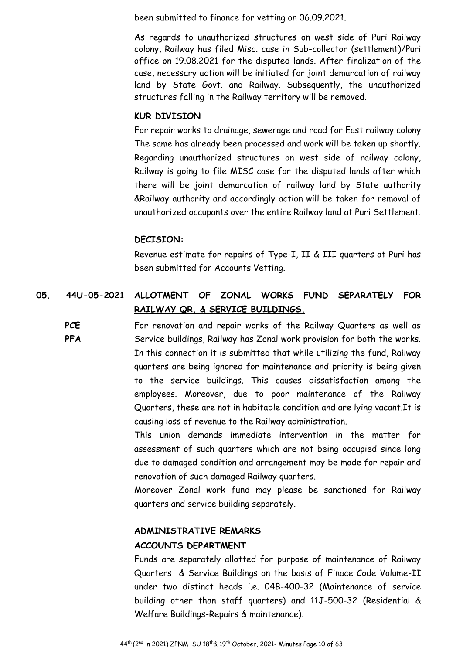been submitted to finance for vetting on 06.09.2021.

As regards to unauthorized structures on west side of Puri Railway colony, Railway has filed Misc. case in Sub-collector (settlement)/Puri office on 19.08.2021 for the disputed lands. After finalization of the case, necessary action will be initiated for joint demarcation of railway land by State Govt. and Railway. Subsequently, the unauthorized structures falling in the Railway territory will be removed.

#### **KUR DIVISION**

For repair works to drainage, sewerage and road for East railway colony The same has already been processed and work will be taken up shortly. Regarding unauthorized structures on west side of railway colony, Railway is going to file MISC case for the disputed lands after which there will be joint demarcation of railway land by State authority &Railway authority and accordingly action will be taken for removal of unauthorized occupants over the entire Railway land at Puri Settlement.

#### **DECISION:**

Revenue estimate for repairs of Type-I, II & III quarters at Puri has been submitted for Accounts Vetting.

# **05. 44U-05-2021 ALLOTMENT OF ZONAL WORKS FUND SEPARATELY FOR RAILWAY QR. & SERVICE BUILDINGS.**

**PCE PFA**  For renovation and repair works of the Railway Quarters as well as Service buildings, Railway has Zonal work provision for both the works. In this connection it is submitted that while utilizing the fund, Railway quarters are being ignored for maintenance and priority is being given to the service buildings. This causes dissatisfaction among the employees. Moreover, due to poor maintenance of the Railway Quarters, these are not in habitable condition and are lying vacant.It is causing loss of revenue to the Railway administration.

> This union demands immediate intervention in the matter for assessment of such quarters which are not being occupied since long due to damaged condition and arrangement may be made for repair and renovation of such damaged Railway quarters.

> Moreover Zonal work fund may please be sanctioned for Railway quarters and service building separately.

## **ADMINISTRATIVE REMARKS**

#### **ACCOUNTS DEPARTMENT**

Funds are separately allotted for purpose of maintenance of Railway Quarters & Service Buildings on the basis of Finace Code Volume-II under two distinct heads i.e. 04B-400-32 (Maintenance of service building other than staff quarters) and 11J-500-32 (Residential & Welfare Buildings-Repairs & maintenance).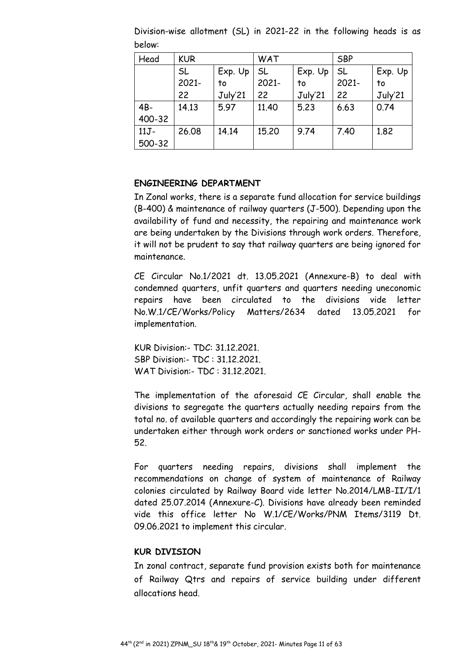| Head    | <b>KUR</b> |         | WAT       |         | <b>SBP</b> |         |
|---------|------------|---------|-----------|---------|------------|---------|
|         | <b>SL</b>  | Exp. Up | <b>SL</b> | Exp. Up | <b>SL</b>  | Exp. Up |
|         | 2021-      | to      | 2021-     | to      | 2021-      | to      |
|         | 22         | July'21 | 22        | July'21 | 22         | July'21 |
| $4B -$  | 14.13      | 5.97    | 11.40     | 5.23    | 6.63       | 0.74    |
| 400-32  |            |         |           |         |            |         |
| $11J -$ | 26.08      | 14.14   | 15.20     | 9.74    | 7.40       | 1.82    |
| 500-32  |            |         |           |         |            |         |

Division-wise allotment (SL) in 2021-22 in the following heads is as below:

#### **ENGINEERING DEPARTMENT**

In Zonal works, there is a separate fund allocation for service buildings (B-400) & maintenance of railway quarters (J-500). Depending upon the availability of fund and necessity, the repairing and maintenance work are being undertaken by the Divisions through work orders. Therefore, it will not be prudent to say that railway quarters are being ignored for maintenance.

CE Circular No.1/2021 dt. 13.05.2021 (Annexure-B) to deal with condemned quarters, unfit quarters and quarters needing uneconomic repairs have been circulated to the divisions vide letter No.W.1/CE/Works/Policy Matters/2634 dated 13.05.2021 for implementation.

KUR Division:- TDC: 31.12.2021. SBP Division:- TDC : 31.12.2021. WAT Division:- TDC : 31.12.2021.

The implementation of the aforesaid CE Circular, shall enable the divisions to segregate the quarters actually needing repairs from the total no. of available quarters and accordingly the repairing work can be undertaken either through work orders or sanctioned works under PH-52.

For quarters needing repairs, divisions shall implement the recommendations on change of system of maintenance of Railway colonies circulated by Railway Board vide letter No.2014/LMB-II/I/1 dated 25.07.2014 (Annexure-C). Divisions have already been reminded vide this office letter No W.1/CE/Works/PNM Items/3119 Dt. 09.06.2021 to implement this circular.

#### **KUR DIVISION**

In zonal contract, separate fund provision exists both for maintenance of Railway Qtrs and repairs of service building under different allocations head.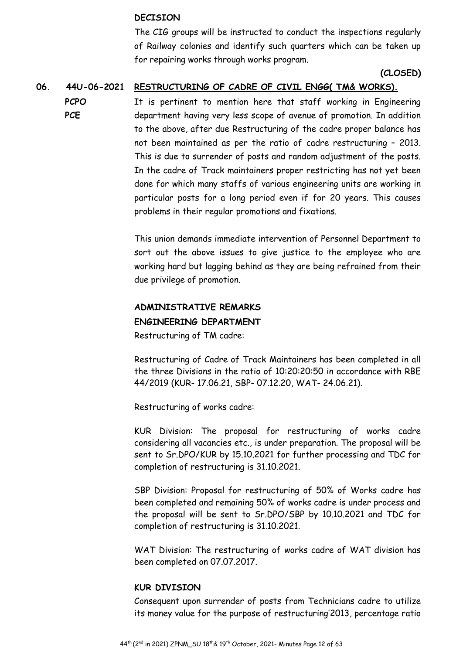#### **DECISION**

The CIG groups will be instructed to conduct the inspections regularly of Railway colonies and identify such quarters which can be taken up for repairing works through works program.

#### **(CLOSED)**

#### **06. 44U-06-2021 RESTRUCTURING OF CADRE OF CIVIL ENGG( TM& WORKS).**

**PCPO PCE**  It is pertinent to mention here that staff working in Engineering department having very less scope of avenue of promotion. In addition to the above, after due Restructuring of the cadre proper balance has not been maintained as per the ratio of cadre restructuring – 2013. This is due to surrender of posts and random adjustment of the posts. In the cadre of Track maintainers proper restricting has not yet been done for which many staffs of various engineering units are working in particular posts for a long period even if for 20 years. This causes problems in their regular promotions and fixations.

> This union demands immediate intervention of Personnel Department to sort out the above issues to give justice to the employee who are working hard but lagging behind as they are being refrained from their due privilege of promotion.

# **ADMINISTRATIVE REMARKS**

#### **ENGINEERING DEPARTMENT**

Restructuring of TM cadre:

Restructuring of Cadre of Track Maintainers has been completed in all the three Divisions in the ratio of 10:20:20:50 in accordance with RBE 44/2019 (KUR- 17.06.21, SBP- 07.12.20, WAT- 24.06.21).

Restructuring of works cadre:

KUR Division: The proposal for restructuring of works cadre considering all vacancies etc., is under preparation. The proposal will be sent to Sr.DPO/KUR by 15.10.2021 for further processing and TDC for completion of restructuring is 31.10.2021.

SBP Division: Proposal for restructuring of 50% of Works cadre has been completed and remaining 50% of works cadre is under process and the proposal will be sent to Sr.DPO/SBP by 10.10.2021 and TDC for completion of restructuring is 31.10.2021.

WAT Division: The restructuring of works cadre of WAT division has been completed on 07.07.2017.

#### **KUR DIVISION**

Consequent upon surrender of posts from Technicians cadre to utilize its money value for the purpose of restructuring'2013, percentage ratio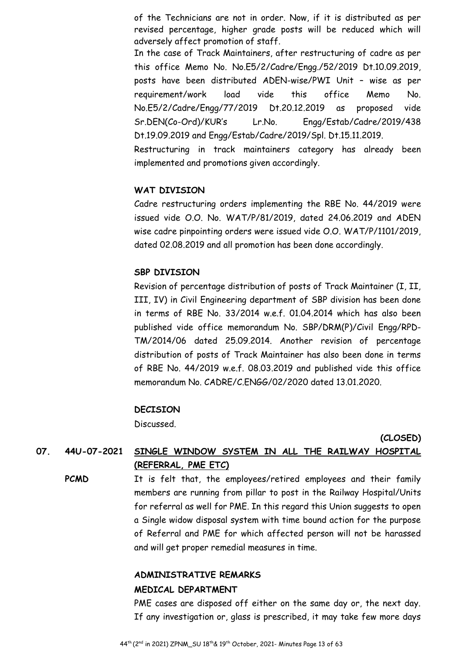of the Technicians are not in order. Now, if it is distributed as per revised percentage, higher grade posts will be reduced which will adversely affect promotion of staff.

In the case of Track Maintainers, after restructuring of cadre as per this office Memo No. No.E5/2/Cadre/Engg./52/2019 Dt.10.09.2019, posts have been distributed ADEN-wise/PWI Unit – wise as per requirement/work load vide this office Memo No. No.E5/2/Cadre/Engg/77/2019 Dt.20.12.2019 as proposed vide Sr.DEN(Co-Ord)/KUR's Lr.No. Engg/Estab/Cadre/2019/438 Dt.19.09.2019 and Engg/Estab/Cadre/2019/Spl. Dt.15.11.2019.

Restructuring in track maintainers category has already been implemented and promotions given accordingly.

#### **WAT DIVISION**

Cadre restructuring orders implementing the RBE No. 44/2019 were issued vide O.O. No. WAT/P/81/2019, dated 24.06.2019 and ADEN wise cadre pinpointing orders were issued vide O.O. WAT/P/1101/2019, dated 02.08.2019 and all promotion has been done accordingly.

#### **SBP DIVISION**

Revision of percentage distribution of posts of Track Maintainer (I, II, III, IV) in Civil Engineering department of SBP division has been done in terms of RBE No. 33/2014 w.e.f. 01.04.2014 which has also been published vide office memorandum No. SBP/DRM(P)/Civil Engg/RPD-TM/2014/06 dated 25.09.2014. Another revision of percentage distribution of posts of Track Maintainer has also been done in terms of RBE No. 44/2019 w.e.f. 08.03.2019 and published vide this office memorandum No. CADRE/C.ENGG/02/2020 dated 13.01.2020.

#### **DECISION**

Discussed.

**(CLOSED)** 

# **07. 44U-07-2021 SINGLE WINDOW SYSTEM IN ALL THE RAILWAY HOSPITAL (REFERRAL, PME ETC)**

**PCMD** It is felt that, the employees/retired employees and their family members are running from pillar to post in the Railway Hospital/Units for referral as well for PME. In this regard this Union suggests to open a Single widow disposal system with time bound action for the purpose of Referral and PME for which affected person will not be harassed and will get proper remedial measures in time.

# **ADMINISTRATIVE REMARKS MEDICAL DEPARTMENT**

PME cases are disposed off either on the same day or, the next day. If any investigation or, glass is prescribed, it may take few more days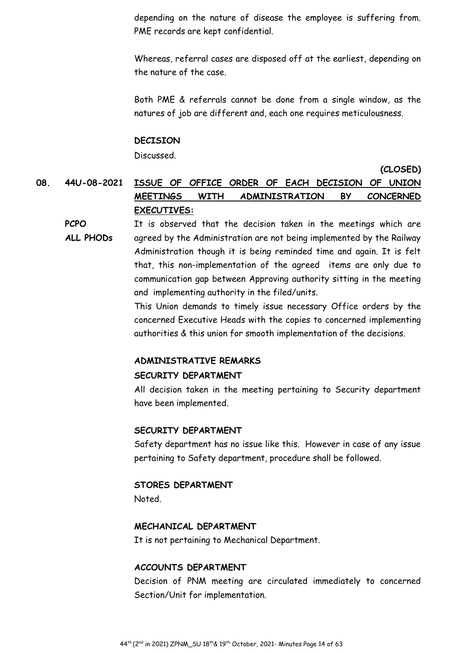depending on the nature of disease the employee is suffering from. PME records are kept confidential.

Whereas, referral cases are disposed off at the earliest, depending on the nature of the case.

Both PME & referrals cannot be done from a single window, as the natures of job are different and, each one requires meticulousness.

#### **DECISION**

Discussed.

**(CLOSED)** 

**08. 44U-08-2021 ISSUE OF OFFICE ORDER OF EACH DECISION OF UNION MEETINGS WITH ADMINISTRATION BY CONCERNED EXECUTIVES:** 

**PCPO ALL PHODs**  It is observed that the decision taken in the meetings which are agreed by the Administration are not being implemented by the Railway Administration though it is being reminded time and again. It is felt that, this non-implementation of the agreed items are only due to communication gap between Approving authority sitting in the meeting and implementing authority in the filed/units.

> This Union demands to timely issue necessary Office orders by the concerned Executive Heads with the copies to concerned implementing authorities & this union for smooth implementation of the decisions.

#### **ADMINISTRATIVE REMARKS**

#### **SECURITY DEPARTMENT**

All decision taken in the meeting pertaining to Security department have been implemented.

#### **SECURITY DEPARTMENT**

Safety department has no issue like this. However in case of any issue pertaining to Safety department, procedure shall be followed.

#### **STORES DEPARTMENT**

Noted.

#### **MECHANICAL DEPARTMENT**

It is not pertaining to Mechanical Department.

#### **ACCOUNTS DEPARTMENT**

Decision of PNM meeting are circulated immediately to concerned Section/Unit for implementation.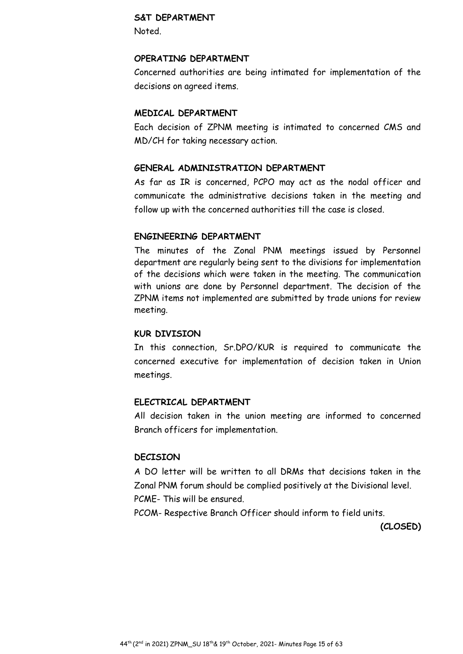#### **S&T DEPARTMENT**

Noted.

#### **OPERATING DEPARTMENT**

Concerned authorities are being intimated for implementation of the decisions on agreed items.

#### **MEDICAL DEPARTMENT**

Each decision of ZPNM meeting is intimated to concerned CMS and MD/CH for taking necessary action.

#### **GENERAL ADMINISTRATION DEPARTMENT**

As far as IR is concerned, PCPO may act as the nodal officer and communicate the administrative decisions taken in the meeting and follow up with the concerned authorities till the case is closed.

## **ENGINEERING DEPARTMENT**

The minutes of the Zonal PNM meetings issued by Personnel department are regularly being sent to the divisions for implementation of the decisions which were taken in the meeting. The communication with unions are done by Personnel department. The decision of the ZPNM items not implemented are submitted by trade unions for review meeting.

#### **KUR DIVISION**

In this connection, Sr.DPO/KUR is required to communicate the concerned executive for implementation of decision taken in Union meetings.

#### **ELECTRICAL DEPARTMENT**

All decision taken in the union meeting are informed to concerned Branch officers for implementation.

#### **DECISION**

A DO letter will be written to all DRMs that decisions taken in the Zonal PNM forum should be complied positively at the Divisional level. PCME- This will be ensured.

PCOM- Respective Branch Officer should inform to field units.

**(CLOSED)**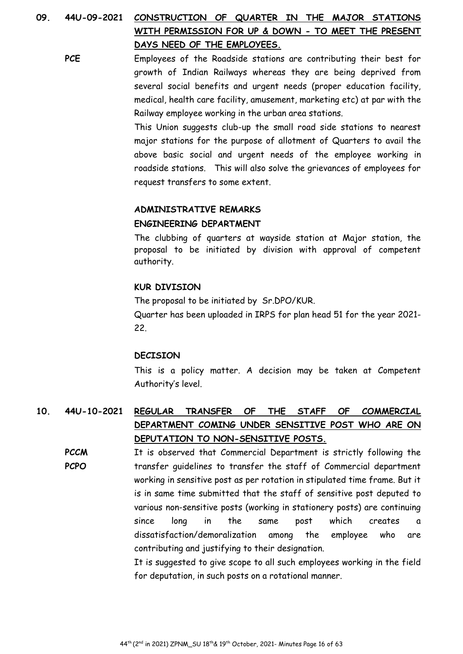# **09. 44U-09-2021 CONSTRUCTION OF QUARTER IN THE MAJOR STATIONS WITH PERMISSION FOR UP & DOWN - TO MEET THE PRESENT DAYS NEED OF THE EMPLOYEES.**

PCE Employees of the Roadside stations are contributing their best for growth of Indian Railways whereas they are being deprived from several social benefits and urgent needs (proper education facility, medical, health care facility, amusement, marketing etc) at par with the Railway employee working in the urban area stations.

> This Union suggests club-up the small road side stations to nearest major stations for the purpose of allotment of Quarters to avail the above basic social and urgent needs of the employee working in roadside stations. This will also solve the grievances of employees for request transfers to some extent.

#### **ADMINISTRATIVE REMARKS**

#### **ENGINEERING DEPARTMENT**

The clubbing of quarters at wayside station at Major station, the proposal to be initiated by division with approval of competent authority.

#### **KUR DIVISION**

The proposal to be initiated by Sr.DPO/KUR. Quarter has been uploaded in IRPS for plan head 51 for the year 2021- 22.

#### **DECISION**

This is a policy matter. A decision may be taken at Competent Authority's level.

# **10. 44U-10-2021 REGULAR TRANSFER OF THE STAFF OF COMMERCIAL DEPARTMENT COMING UNDER SENSITIVE POST WHO ARE ON DEPUTATION TO NON-SENSITIVE POSTS.**

**PCCM PCPO**  It is observed that Commercial Department is strictly following the transfer guidelines to transfer the staff of Commercial department working in sensitive post as per rotation in stipulated time frame. But it is in same time submitted that the staff of sensitive post deputed to various non-sensitive posts (working in stationery posts) are continuing since long in the same post which creates a dissatisfaction/demoralization among the employee who are contributing and justifying to their designation.

It is suggested to give scope to all such employees working in the field for deputation, in such posts on a rotational manner.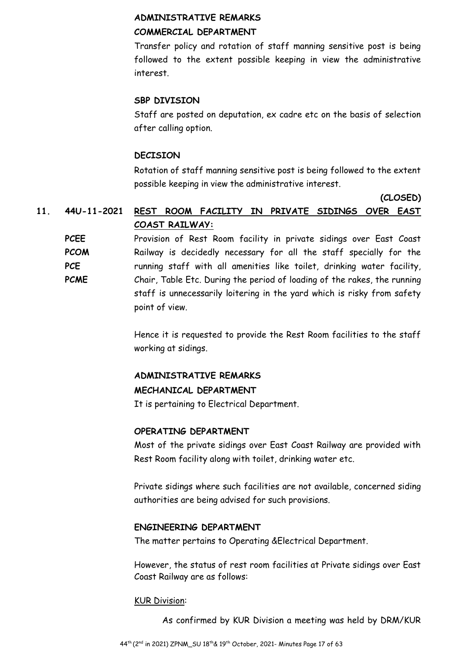#### **ADMINISTRATIVE REMARKS**

#### **COMMERCIAL DEPARTMENT**

Transfer policy and rotation of staff manning sensitive post is being followed to the extent possible keeping in view the administrative interest.

## **SBP DIVISION**

Staff are posted on deputation, ex cadre etc on the basis of selection after calling option.

## **DECISION**

Rotation of staff manning sensitive post is being followed to the extent possible keeping in view the administrative interest.

**(CLOSED)** 

# **11. 44U-11-2021 REST ROOM FACILITY IN PRIVATE SIDINGS OVER EAST COAST RAILWAY:**

**PCEE PCOM PCE PCME**  Provision of Rest Room facility in private sidings over East Coast Railway is decidedly necessary for all the staff specially for the running staff with all amenities like toilet, drinking water facility, Chair, Table Etc. During the period of loading of the rakes, the running staff is unnecessarily loitering in the yard which is risky from safety point of view.

> Hence it is requested to provide the Rest Room facilities to the staff working at sidings.

#### **ADMINISTRATIVE REMARKS**

#### **MECHANICAL DEPARTMENT**

It is pertaining to Electrical Department.

#### **OPERATING DEPARTMENT**

Most of the private sidings over East Coast Railway are provided with Rest Room facility along with toilet, drinking water etc.

Private sidings where such facilities are not available, concerned siding authorities are being advised for such provisions.

#### **ENGINEERING DEPARTMENT**

The matter pertains to Operating &Electrical Department.

However, the status of rest room facilities at Private sidings over East Coast Railway are as follows:

#### KUR Division:

As confirmed by KUR Division a meeting was held by DRM/KUR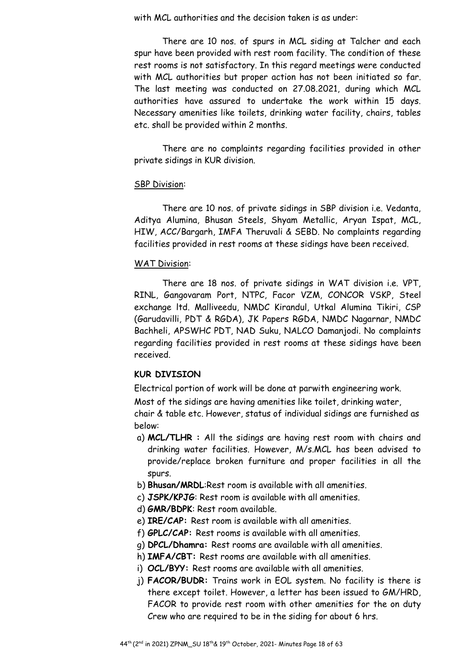with MCL authorities and the decision taken is as under:

There are 10 nos. of spurs in MCL siding at Talcher and each spur have been provided with rest room facility. The condition of these rest rooms is not satisfactory. In this regard meetings were conducted with MCL authorities but proper action has not been initiated so far. The last meeting was conducted on 27.08.2021, during which MCL authorities have assured to undertake the work within 15 days. Necessary amenities like toilets, drinking water facility, chairs, tables etc. shall be provided within 2 months.

There are no complaints regarding facilities provided in other private sidings in KUR division.

#### SBP Division:

There are 10 nos. of private sidings in SBP division i.e. Vedanta, Aditya Alumina, Bhusan Steels, Shyam Metallic, Aryan Ispat, MCL, HIW, ACC/Bargarh, IMFA Theruvali & SEBD. No complaints regarding facilities provided in rest rooms at these sidings have been received.

#### WAT Division:

There are 18 nos. of private sidings in WAT division i.e. VPT, RINL, Gangovaram Port, NTPC, Facor VZM, CONCOR VSKP, Steel exchange ltd. Malliveedu, NMDC Kirandul, Utkal Alumina Tikiri, CSP (Garudavilli, PDT & RGDA), JK Papers RGDA, NMDC Nagarnar, NMDC Bachheli, APSWHC PDT, NAD Suku, NALCO Damanjodi. No complaints regarding facilities provided in rest rooms at these sidings have been received.

#### **KUR DIVISION**

Electrical portion of work will be done at parwith engineering work.

Most of the sidings are having amenities like toilet, drinking water, chair & table etc. However, status of individual sidings are furnished as

below:

- a) **MCL/TLHR :** All the sidings are having rest room with chairs and drinking water facilities. However, M/s.MCL has been advised to provide/replace broken furniture and proper facilities in all the spurs.
- b) **Bhusan/MRDL**:Rest room is available with all amenities.
- c) **JSPK/KPJG**: Rest room is available with all amenities.
- d) **GMR/BDPK**: Rest room available.
- e) **IRE/CAP:** Rest room is available with all amenities.
- f) **GPLC/CAP:** Rest rooms is available with all amenities.
- g) **DPCL/Dhamra:** Rest rooms are available with all amenities.
- h) **IMFA/CBT:** Rest rooms are available with all amenities.
- i) **OCL/BYY:** Rest rooms are available with all amenities.
- j) **FACOR/BUDR:** Trains work in EOL system. No facility is there is there except toilet. However, a letter has been issued to GM/HRD, FACOR to provide rest room with other amenities for the on duty Crew who are required to be in the siding for about 6 hrs.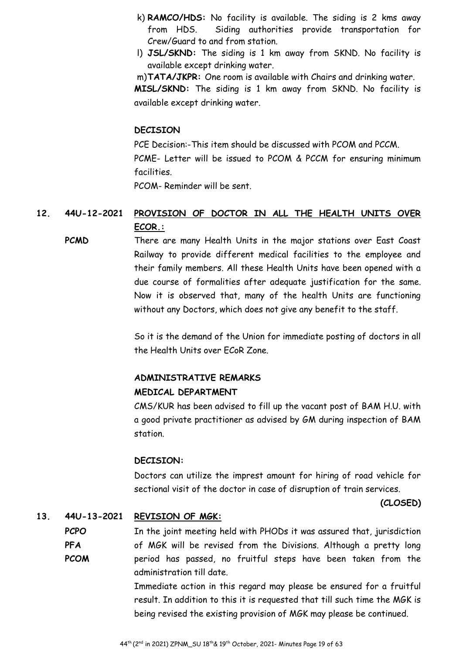- k) **RAMCO/HDS:** No facility is available. The siding is 2 kms away from HDS. Siding authorities provide transportation for Crew/Guard to and from station.
- l) **JSL/SKND:** The siding is 1 km away from SKND. No facility is available except drinking water.

m)**TATA/JKPR:** One room is available with Chairs and drinking water. **MISL/SKND:** The siding is 1 km away from SKND. No facility is available except drinking water.

#### **DECISION**

PCE Decision:-This item should be discussed with PCOM and PCCM. PCME- Letter will be issued to PCOM & PCCM for ensuring minimum facilities.

PCOM- Reminder will be sent.

# **12. 44U-12-2021 PROVISION OF DOCTOR IN ALL THE HEALTH UNITS OVER ECOR.:**

**PCMD** There are many Health Units in the major stations over East Coast Railway to provide different medical facilities to the employee and their family members. All these Health Units have been opened with a due course of formalities after adequate justification for the same. Now it is observed that, many of the health Units are functioning without any Doctors, which does not give any benefit to the staff.

> So it is the demand of the Union for immediate posting of doctors in all the Health Units over ECoR Zone.

## **ADMINISTRATIVE REMARKS**

#### **MEDICAL DEPARTMENT**

CMS/KUR has been advised to fill up the vacant post of BAM H.U. with a good private practitioner as advised by GM during inspection of BAM station.

#### **DECISION:**

Doctors can utilize the imprest amount for hiring of road vehicle for sectional visit of the doctor in case of disruption of train services.

#### **(CLOSED)**

#### **13. 44U-13-2021 REVISION OF MGK:**

**PCPO PFA PCOM**  In the joint meeting held with PHODs it was assured that, jurisdiction of MGK will be revised from the Divisions. Although a pretty long period has passed, no fruitful steps have been taken from the administration till date.

> Immediate action in this regard may please be ensured for a fruitful result. In addition to this it is requested that till such time the MGK is being revised the existing provision of MGK may please be continued.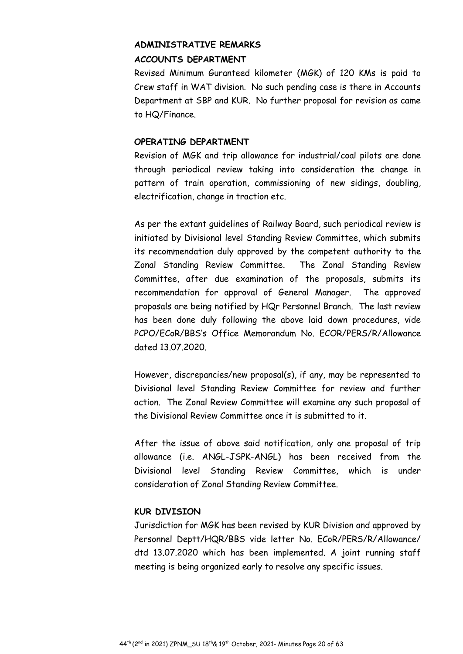# **ADMINISTRATIVE REMARKS ACCOUNTS DEPARTMENT**

Revised Minimum Guranteed kilometer (MGK) of 120 KMs is paid to Crew staff in WAT division. No such pending case is there in Accounts Department at SBP and KUR. No further proposal for revision as came to HQ/Finance.

## **OPERATING DEPARTMENT**

Revision of MGK and trip allowance for industrial/coal pilots are done through periodical review taking into consideration the change in pattern of train operation, commissioning of new sidings, doubling, electrification, change in traction etc.

As per the extant guidelines of Railway Board, such periodical review is initiated by Divisional level Standing Review Committee, which submits its recommendation duly approved by the competent authority to the Zonal Standing Review Committee. The Zonal Standing Review Committee, after due examination of the proposals, submits its recommendation for approval of General Manager. The approved proposals are being notified by HQr Personnel Branch. The last review has been done duly following the above laid down procedures, vide PCPO/ECoR/BBS's Office Memorandum No. ECOR/PERS/R/Allowance dated 13.07.2020.

However, discrepancies/new proposal(s), if any, may be represented to Divisional level Standing Review Committee for review and further action. The Zonal Review Committee will examine any such proposal of the Divisional Review Committee once it is submitted to it.

After the issue of above said notification, only one proposal of trip allowance (i.e. ANGL-JSPK-ANGL) has been received from the Divisional level Standing Review Committee, which is under consideration of Zonal Standing Review Committee.

# **KUR DIVISION**

Jurisdiction for MGK has been revised by KUR Division and approved by Personnel Deptt/HQR/BBS vide letter No. ECoR/PERS/R/Allowance/ dtd 13.07.2020 which has been implemented. A joint running staff meeting is being organized early to resolve any specific issues.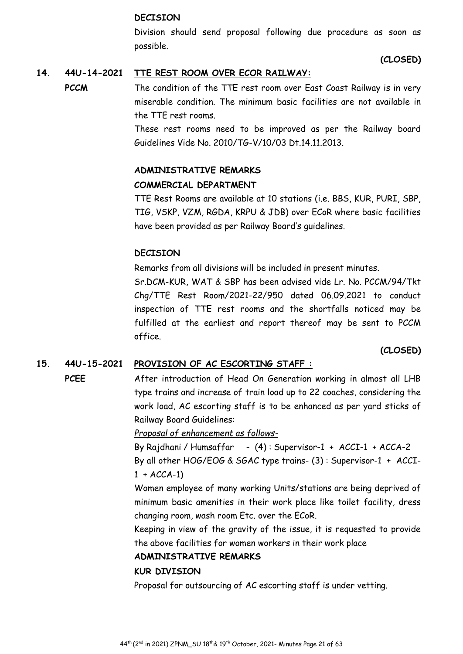#### **DECISION**

Division should send proposal following due procedure as soon as possible.

**(CLOSED)**

# **14. 44U-14-2021 TTE REST ROOM OVER ECOR RAILWAY:**

**PCCM** The condition of the TTE rest room over East Coast Railway is in very miserable condition. The minimum basic facilities are not available in the TTE rest rooms.

> These rest rooms need to be improved as per the Railway board Guidelines Vide No. 2010/TG-V/10/03 Dt.14.11.2013.

#### **ADMINISTRATIVE REMARKS**

#### **COMMERCIAL DEPARTMENT**

TTE Rest Rooms are available at 10 stations (i.e. BBS, KUR, PURI, SBP, TIG, VSKP, VZM, RGDA, KRPU & JDB) over ECoR where basic facilities have been provided as per Railway Board's guidelines.

## **DECISION**

Remarks from all divisions will be included in present minutes.

Sr.DCM-KUR, WAT & SBP has been advised vide Lr. No. PCCM/94/Tkt Chg/TTE Rest Room/2021-22/950 dated 06.09.2021 to conduct inspection of TTE rest rooms and the shortfalls noticed may be fulfilled at the earliest and report thereof may be sent to PCCM office.

#### **(CLOSED)**

#### **15. 44U-15-2021 PROVISION OF AC ESCORTING STAFF :**

**PCEE** After introduction of Head On Generation working in almost all LHB type trains and increase of train load up to 22 coaches, considering the work load, AC escorting staff is to be enhanced as per yard sticks of Railway Board Guidelines:

*Proposal of enhancement as follows-*

By Rajdhani / Humsaffar - (4) : Supervisor-1 + ACCI-1 + ACCA-2

By all other HOG/EOG & SGAC type trains- (3) : Supervisor-1 + ACCI- $1 + ACCA-1$ 

Women employee of many working Units/stations are being deprived of minimum basic amenities in their work place like toilet facility, dress changing room, wash room Etc. over the ECoR.

Keeping in view of the gravity of the issue, it is requested to provide the above facilities for women workers in their work place

#### **ADMINISTRATIVE REMARKS**

#### **KUR DIVISION**

Proposal for outsourcing of AC escorting staff is under vetting.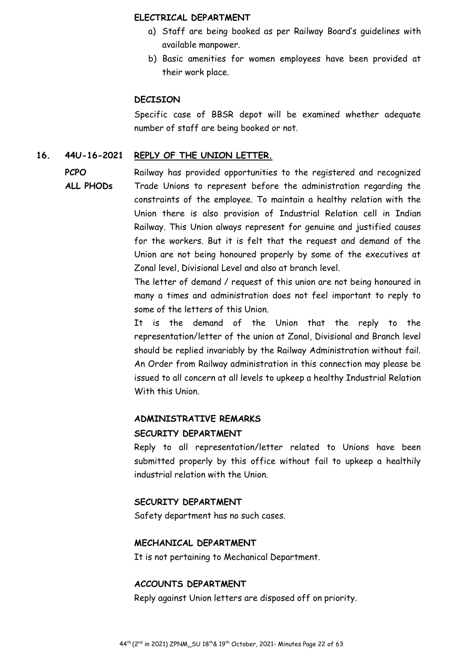#### **ELECTRICAL DEPARTMENT**

- a) Staff are being booked as per Railway Board's guidelines with available manpower.
- b) Basic amenities for women employees have been provided at their work place.

#### **DECISION**

Specific case of BBSR depot will be examined whether adequate number of staff are being booked or not.

#### **16. 44U-16-2021 REPLY OF THE UNION LETTER.**

**PCPO** 

**ALL PHODs** 

Railway has provided opportunities to the registered and recognized Trade Unions to represent before the administration regarding the constraints of the employee. To maintain a healthy relation with the Union there is also provision of Industrial Relation cell in Indian Railway. This Union always represent for genuine and justified causes for the workers. But it is felt that the request and demand of the Union are not being honoured properly by some of the executives at Zonal level, Divisional Level and also at branch level.

The letter of demand / request of this union are not being honoured in many a times and administration does not feel important to reply to some of the letters of this Union.

It is the demand of the Union that the reply to the representation/letter of the union at Zonal, Divisional and Branch level should be replied invariably by the Railway Administration without fail. An Order from Railway administration in this connection may please be issued to all concern at all levels to upkeep a healthy Industrial Relation With this Union.

#### **ADMINISTRATIVE REMARKS**

#### **SECURITY DEPARTMENT**

Reply to all representation/letter related to Unions have been submitted properly by this office without fail to upkeep a healthily industrial relation with the Union.

#### **SECURITY DEPARTMENT**

Safety department has no such cases.

#### **MECHANICAL DEPARTMENT**

It is not pertaining to Mechanical Department.

#### **ACCOUNTS DEPARTMENT**

Reply against Union letters are disposed off on priority.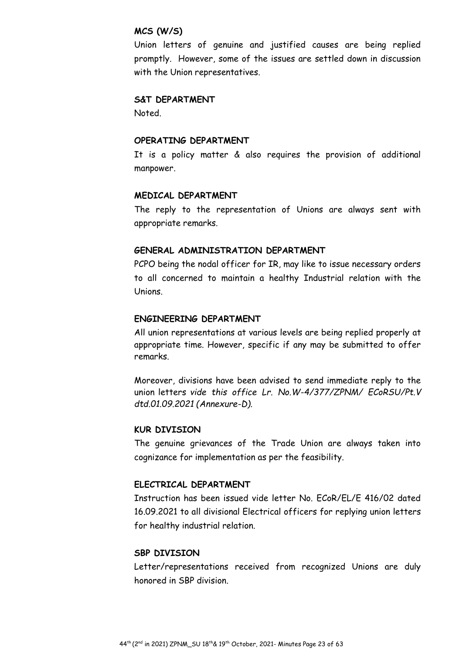#### **MCS (W/S)**

Union letters of genuine and justified causes are being replied promptly. However, some of the issues are settled down in discussion with the Union representatives.

#### **S&T DEPARTMENT**

Noted.

## **OPERATING DEPARTMENT**

It is a policy matter & also requires the provision of additional manpower.

#### **MEDICAL DEPARTMENT**

The reply to the representation of Unions are always sent with appropriate remarks.

#### **GENERAL ADMINISTRATION DEPARTMENT**

PCPO being the nodal officer for IR, may like to issue necessary orders to all concerned to maintain a healthy Industrial relation with the Unions.

#### **ENGINEERING DEPARTMENT**

All union representations at various levels are being replied properly at appropriate time. However, specific if any may be submitted to offer remarks.

Moreover, divisions have been advised to send immediate reply to the union letters *vide this office Lr. No.W-4/377/ZPNM/ ECoRSU/Pt.V dtd.01.09.2021 (Annexure-D).* 

#### **KUR DIVISION**

The genuine grievances of the Trade Union are always taken into cognizance for implementation as per the feasibility.

#### **ELECTRICAL DEPARTMENT**

Instruction has been issued vide letter No. ECoR/EL/E 416/02 dated 16.09.2021 to all divisional Electrical officers for replying union letters for healthy industrial relation.

#### **SBP DIVISION**

Letter/representations received from recognized Unions are duly honored in SBP division.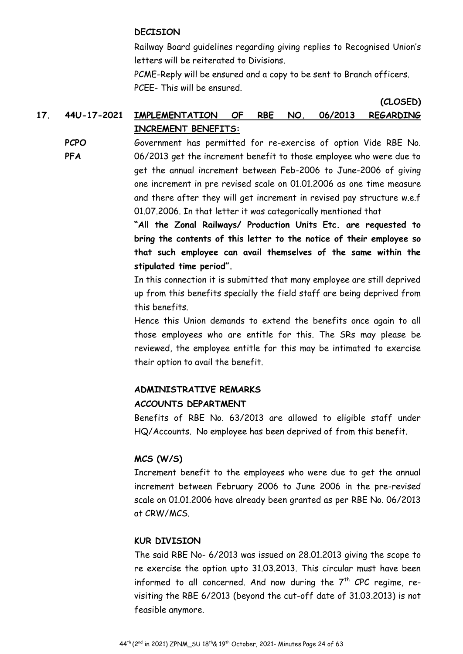#### **DECISION**

Railway Board guidelines regarding giving replies to Recognised Union's letters will be reiterated to Divisions.

**(CLOSED)** 

PCME-Reply will be ensured and a copy to be sent to Branch officers. PCEE- This will be ensured.

# **17. 44U-17-2021 IMPLEMENTATION OF RBE NO. 06/2013 REGARDING INCREMENT BENEFITS:**

**PCPO** 

**PFA** 

Government has permitted for re-exercise of option Vide RBE No. 06/2013 get the increment benefit to those employee who were due to get the annual increment between Feb-2006 to June-2006 of giving one increment in pre revised scale on 01.01.2006 as one time measure and there after they will get increment in revised pay structure w.e.f 01.07.2006. In that letter it was categorically mentioned that

**"All the Zonal Railways/ Production Units Etc. are requested to bring the contents of this letter to the notice of their employee so that such employee can avail themselves of the same within the stipulated time period".** 

In this connection it is submitted that many employee are still deprived up from this benefits specially the field staff are being deprived from this benefits.

Hence this Union demands to extend the benefits once again to all those employees who are entitle for this. The SRs may please be reviewed, the employee entitle for this may be intimated to exercise their option to avail the benefit.

# **ADMINISTRATIVE REMARKS**

#### **ACCOUNTS DEPARTMENT**

Benefits of RBE No. 63/2013 are allowed to eligible staff under HQ/Accounts. No employee has been deprived of from this benefit.

# **MCS (W/S)**

Increment benefit to the employees who were due to get the annual increment between February 2006 to June 2006 in the pre-revised scale on 01.01.2006 have already been granted as per RBE No. 06/2013 at CRW/MCS.

#### **KUR DIVISION**

The said RBE No- 6/2013 was issued on 28.01.2013 giving the scope to re exercise the option upto 31.03.2013. This circular must have been informed to all concerned. And now during the  $7<sup>th</sup>$  CPC regime, revisiting the RBE 6/2013 (beyond the cut-off date of 31.03.2013) is not feasible anymore.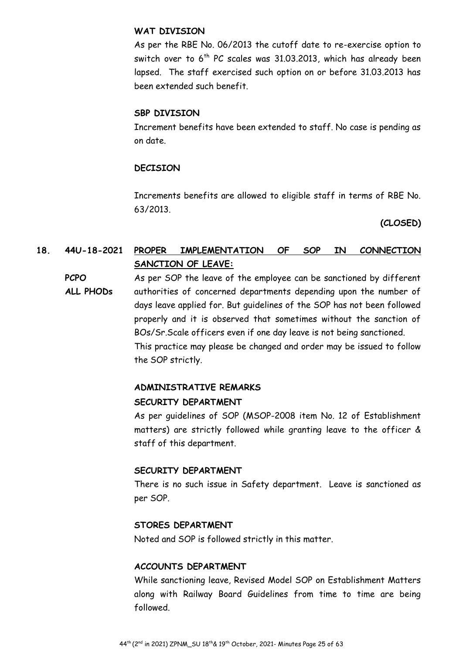#### **WAT DIVISION**

As per the RBE No. 06/2013 the cutoff date to re-exercise option to switch over to  $6<sup>th</sup>$  PC scales was 31.03.2013, which has already been lapsed. The staff exercised such option on or before 31.03.2013 has been extended such benefit.

#### **SBP DIVISION**

Increment benefits have been extended to staff. No case is pending as on date.

# **DECISION**

Increments benefits are allowed to eligible staff in terms of RBE No. 63/2013.

**(CLOSED)** 

# **18. 44U-18-2021 PROPER IMPLEMENTATION OF SOP IN CONNECTION SANCTION OF LEAVE:**

**PCPO ALL PHODs**  As per SOP the leave of the employee can be sanctioned by different authorities of concerned departments depending upon the number of days leave applied for. But guidelines of the SOP has not been followed properly and it is observed that sometimes without the sanction of BOs/Sr.Scale officers even if one day leave is not being sanctioned. This practice may please be changed and order may be issued to follow the SOP strictly.

# **ADMINISTRATIVE REMARKS**

#### **SECURITY DEPARTMENT**

As per guidelines of SOP (MSOP-2008 item No. 12 of Establishment matters) are strictly followed while granting leave to the officer & staff of this department.

#### **SECURITY DEPARTMENT**

There is no such issue in Safety department. Leave is sanctioned as per SOP.

#### **STORES DEPARTMENT**

Noted and SOP is followed strictly in this matter.

#### **ACCOUNTS DEPARTMENT**

While sanctioning leave, Revised Model SOP on Establishment Matters along with Railway Board Guidelines from time to time are being followed.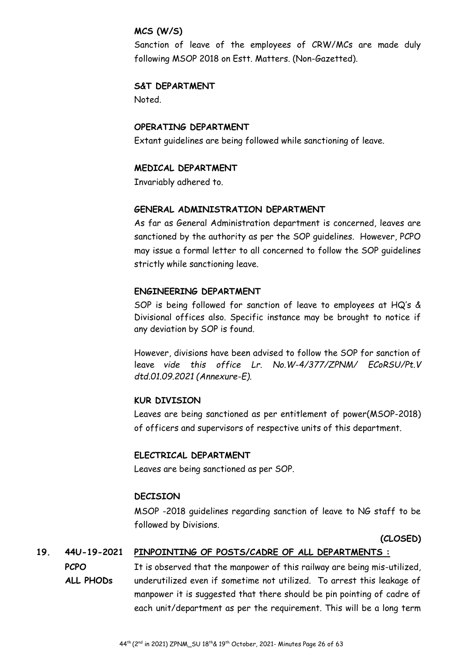#### **MCS (W/S)**

Sanction of leave of the employees of CRW/MCs are made duly following MSOP 2018 on Estt. Matters. (Non-Gazetted).

# **S&T DEPARTMENT**

Noted.

# **OPERATING DEPARTMENT**

Extant guidelines are being followed while sanctioning of leave.

# **MEDICAL DEPARTMENT**

Invariably adhered to.

# **GENERAL ADMINISTRATION DEPARTMENT**

As far as General Administration department is concerned, leaves are sanctioned by the authority as per the SOP guidelines. However, PCPO may issue a formal letter to all concerned to follow the SOP guidelines strictly while sanctioning leave.

# **ENGINEERING DEPARTMENT**

SOP is being followed for sanction of leave to employees at HQ's & Divisional offices also. Specific instance may be brought to notice if any deviation by SOP is found.

However, divisions have been advised to follow the SOP for sanction of leave *vide this office Lr. No.W-4/377/ZPNM/ ECoRSU/Pt.V dtd.01.09.2021 (Annexure-E).* 

# **KUR DIVISION**

Leaves are being sanctioned as per entitlement of power(MSOP-2018) of officers and supervisors of respective units of this department.

# **ELECTRICAL DEPARTMENT**

Leaves are being sanctioned as per SOP.

# **DECISION**

MSOP -2018 guidelines regarding sanction of leave to NG staff to be followed by Divisions.

**(CLOSED)**

# **19. 44U-19-2021 PINPOINTING OF POSTS/CADRE OF ALL DEPARTMENTS :**

**PCPO ALL PHODs**  It is observed that the manpower of this railway are being mis-utilized, underutilized even if sometime not utilized. To arrest this leakage of manpower it is suggested that there should be pin pointing of cadre of each unit/department as per the requirement. This will be a long term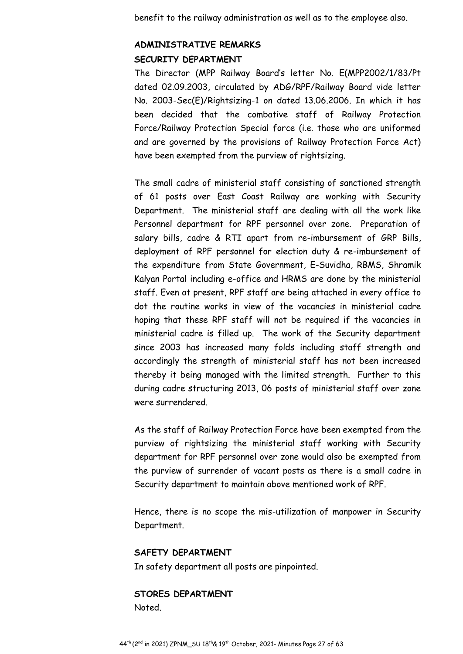benefit to the railway administration as well as to the employee also.

# **ADMINISTRATIVE REMARKS SECURITY DEPARTMENT**

The Director (MPP Railway Board's letter No. E(MPP2002/1/83/Pt dated 02.09.2003, circulated by ADG/RPF/Railway Board vide letter No. 2003-Sec(E)/Rightsizing-1 on dated 13.06.2006. In which it has been decided that the combative staff of Railway Protection Force/Railway Protection Special force (i.e. those who are uniformed and are governed by the provisions of Railway Protection Force Act) have been exempted from the purview of rightsizing.

The small cadre of ministerial staff consisting of sanctioned strength of 61 posts over East Coast Railway are working with Security Department. The ministerial staff are dealing with all the work like Personnel department for RPF personnel over zone. Preparation of salary bills, cadre & RTI apart from re-imbursement of GRP Bills, deployment of RPF personnel for election duty & re-imbursement of the expenditure from State Government, E-Suvidha, RBMS, Shramik Kalyan Portal including e-office and HRMS are done by the ministerial staff. Even at present, RPF staff are being attached in every office to dot the routine works in view of the vacancies in ministerial cadre hoping that these RPF staff will not be required if the vacancies in ministerial cadre is filled up. The work of the Security department since 2003 has increased many folds including staff strength and accordingly the strength of ministerial staff has not been increased thereby it being managed with the limited strength. Further to this during cadre structuring 2013, 06 posts of ministerial staff over zone were surrendered.

As the staff of Railway Protection Force have been exempted from the purview of rightsizing the ministerial staff working with Security department for RPF personnel over zone would also be exempted from the purview of surrender of vacant posts as there is a small cadre in Security department to maintain above mentioned work of RPF.

Hence, there is no scope the mis-utilization of manpower in Security Department.

#### **SAFETY DEPARTMENT**

In safety department all posts are pinpointed.

#### **STORES DEPARTMENT**

Noted.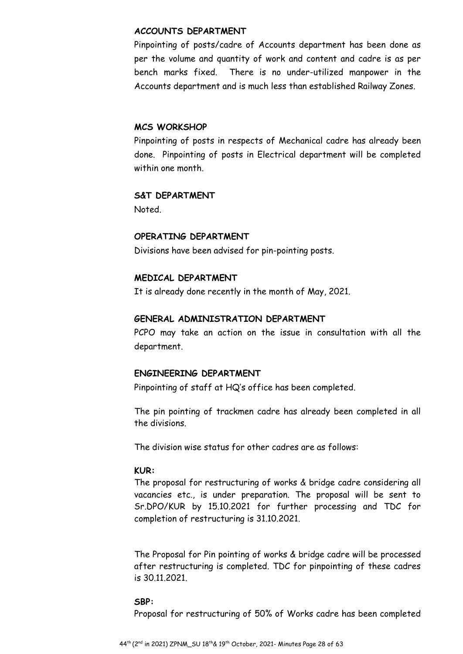#### **ACCOUNTS DEPARTMENT**

Pinpointing of posts/cadre of Accounts department has been done as per the volume and quantity of work and content and cadre is as per bench marks fixed. There is no under-utilized manpower in the Accounts department and is much less than established Railway Zones.

#### **MCS WORKSHOP**

Pinpointing of posts in respects of Mechanical cadre has already been done. Pinpointing of posts in Electrical department will be completed within one month.

## **S&T DEPARTMENT**

Noted.

#### **OPERATING DEPARTMENT**

Divisions have been advised for pin-pointing posts.

#### **MEDICAL DEPARTMENT**

It is already done recently in the month of May, 2021.

#### **GENERAL ADMINISTRATION DEPARTMENT**

PCPO may take an action on the issue in consultation with all the department.

#### **ENGINEERING DEPARTMENT**

Pinpointing of staff at HQ's office has been completed.

The pin pointing of trackmen cadre has already been completed in all the divisions.

The division wise status for other cadres are as follows:

#### **KUR:**

The proposal for restructuring of works & bridge cadre considering all vacancies etc., is under preparation. The proposal will be sent to Sr.DPO/KUR by 15.10.2021 for further processing and TDC for completion of restructuring is 31.10.2021.

The Proposal for Pin pointing of works & bridge cadre will be processed after restructuring is completed. TDC for pinpointing of these cadres is 30.11.2021.

#### **SBP:**

Proposal for restructuring of 50% of Works cadre has been completed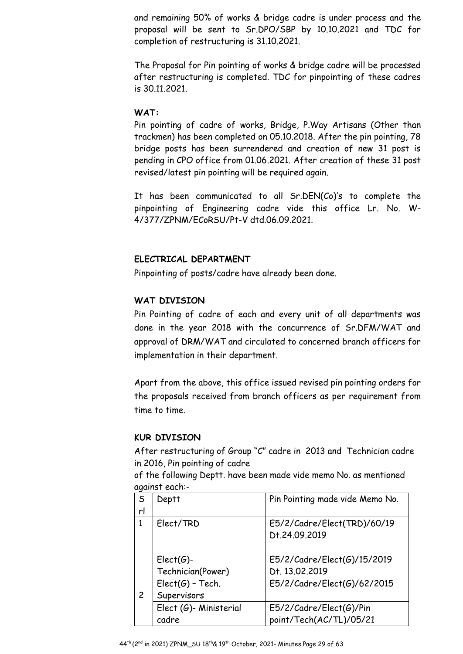and remaining 50% of works & bridge cadre is under process and the proposal will be sent to Sr.DPO/SBP by 10.10.2021 and TDC for completion of restructuring is 31.10.2021.

The Proposal for Pin pointing of works & bridge cadre will be processed after restructuring is completed. TDC for pinpointing of these cadres is 30.11.2021.

#### **WAT:**

Pin pointing of cadre of works, Bridge, P.Way Artisans (Other than trackmen) has been completed on 05.10.2018. After the pin pointing, 78 bridge posts has been surrendered and creation of new 31 post is pending in CPO office from 01.06.2021. After creation of these 31 post revised/latest pin pointing will be required again.

It has been communicated to all Sr.DEN(Co)'s to complete the pinpointing of Engineering cadre vide this office Lr. No. W-4/377/ZPNM/ECoRSU/Pt-V dtd.06.09.2021.

# **ELECTRICAL DEPARTMENT**

Pinpointing of posts/cadre have already been done.

# **WAT DIVISION**

Pin Pointing of cadre of each and every unit of all departments was done in the year 2018 with the concurrence of Sr.DFM/WAT and approval of DRM/WAT and circulated to concerned branch officers for implementation in their department.

Apart from the above, this office issued revised pin pointing orders for the proposals received from branch officers as per requirement from time to time.

# **KUR DIVISION**

After restructuring of Group "C" cadre in 2013 and Technician cadre in 2016, Pin pointing of cadre

of the following Deptt. have been made vide memo No. as mentioned against each:-

| $\mathsf{S}$   | Deptt                  | Pin Pointing made vide Memo No.              |
|----------------|------------------------|----------------------------------------------|
| rl             |                        |                                              |
| $\mathbf{1}$   | Elect/TRD              | E5/2/Cadre/Elect(TRD)/60/19<br>Dt.24.09.2019 |
|                | $Elect(G)$ -           | E5/2/Cadre/Elect(G)/15/2019                  |
|                | Technician(Power)      | Dt. 13.02.2019                               |
|                | $Elect(G)$ - Tech.     | E5/2/Cadre/Elect(G)/62/2015                  |
| $\overline{c}$ | Supervisors            |                                              |
|                | Elect (G)- Ministerial | E5/2/Cadre/Elect(G)/Pin                      |
|                | cadre                  | point/Tech(AC/TL)/05/21                      |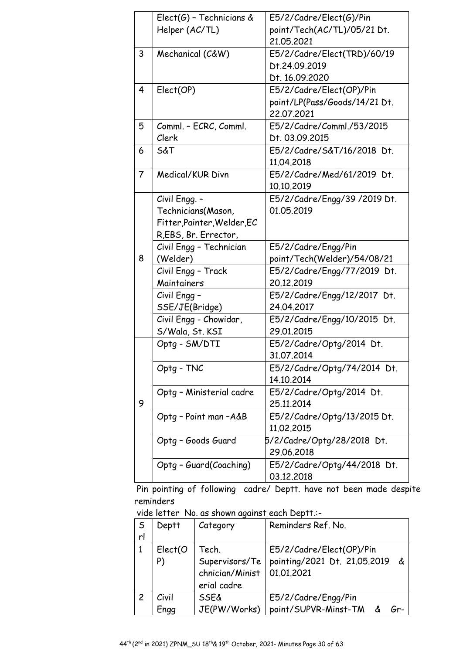|                | $Elect(G)$ - Technicians &  | E5/2/Cadre/Elect(G)/Pin       |
|----------------|-----------------------------|-------------------------------|
|                | Helper (AC/TL)              | point/Tech(AC/TL)/05/21 Dt.   |
|                |                             | 21,05,2021                    |
| 3              | Mechanical (C&W)            | E5/2/Cadre/Elect(TRD)/60/19   |
|                |                             | Dt.24.09.2019                 |
|                |                             | Dt. 16.09.2020                |
| $\overline{4}$ | Elect(OP)                   | E5/2/Cadre/Elect(OP)/Pin      |
|                |                             | point/LP(Pass/Goods/14/21 Dt. |
|                |                             | 22.07.2021                    |
| 5              | Comml. - ECRC, Comml.       | E5/2/Cadre/Comml./53/2015     |
|                | Clerk                       | Dt. 03.09.2015                |
| 6              | S&T                         | E5/2/Cadre/S&T/16/2018 Dt.    |
|                |                             | 11.04.2018                    |
| 7              | Medical/KUR Divn            | E5/2/Cadre/Med/61/2019 Dt.    |
|                |                             | 10.10.2019                    |
|                | Civil Engg. -               | E5/2/Cadre/Engg/39 /2019 Dt.  |
|                | Technicians(Mason,          | 01.05.2019                    |
|                | Fitter, Painter, Welder, EC |                               |
|                | R, EBS, Br. Errector,       |                               |
|                | Civil Engg - Technician     | E5/2/Cadre/Engg/Pin           |
| 8              | (Welder)                    | point/Tech(Welder)/54/08/21   |
|                | Civil Engg - Track          | E5/2/Cadre/Engg/77/2019 Dt.   |
|                | Maintainers                 | 20.12.2019                    |
|                | Civil Engg -                | E5/2/Cadre/Engg/12/2017 Dt.   |
|                | SSE/JE(Bridge)              | 24.04.2017                    |
|                | Civil Engg - Chowidar,      | E5/2/Cadre/Engg/10/2015 Dt.   |
|                | S/Wala, St. KSI             | 29.01.2015                    |
|                | Optg - SM/DTI               | E5/2/Cadre/Optg/2014 Dt.      |
|                |                             | 31,07,2014                    |
|                | Optg - TNC                  | E5/2/Cadre/Optg/74/2014 Dt.   |
|                |                             | 14.10.2014                    |
|                | Optg - Ministerial cadre    | E5/2/Cadre/Optg/2014 Dt.      |
| 9              |                             | 25.11.2014                    |
|                | Optg - Point man -A&B       | E5/2/Cadre/Optg/13/2015 Dt.   |
|                |                             | 11.02.2015                    |
|                | Optg - Goods Guard          | 5/2/Cadre/Optg/28/2018 Dt.    |
|                |                             | 29.06.2018                    |
|                | Optg - Guard(Coaching)      | E5/2/Cadre/Optg/44/2018 Dt.   |
|                |                             | 03.12.2018                    |

 Pin pointing of following cadre/ Deptt. have not been made despite reminders

vide letter No. as shown against each Deptt.:-

| S<br>rl | Deptt          | Category                                                  | Reminders Ref. No.                                                            |
|---------|----------------|-----------------------------------------------------------|-------------------------------------------------------------------------------|
|         | Elect(O)<br>P) | Tech.<br>Supervisors/Te<br>chnician/Minist<br>erial cadre | E5/2/Cadre/Elect(OP)/Pin<br>pointing/2021 Dt. 21.05.2019<br>් ර<br>01.01.2021 |
| 2       | Civil<br>Engg  | <b>SSE&amp;</b><br>JE(PW/Works)                           | E5/2/Cadre/Engg/Pin<br>point/SUPVR-Minst-TM                                   |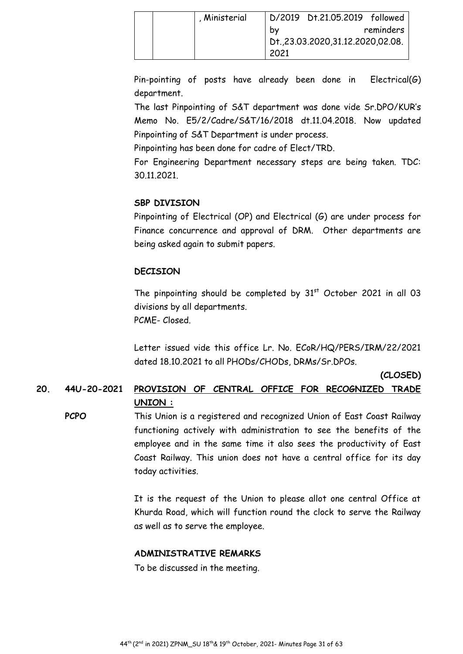| , Ministerial |                                     | D/2019 Dt.21.05.2019 followed |           |  |
|---------------|-------------------------------------|-------------------------------|-----------|--|
|               | bv                                  |                               | reminders |  |
|               | Dt., 23.03.2020, 31.12.2020, 02.08. |                               |           |  |
|               | 2021                                |                               |           |  |

Pin-pointing of posts have already been done in Electrical(G) department.

The last Pinpointing of S&T department was done vide Sr.DPO/KUR's Memo No. E5/2/Cadre/S&T/16/2018 dt.11.04.2018. Now updated Pinpointing of S&T Department is under process.

Pinpointing has been done for cadre of Elect/TRD.

For Engineering Department necessary steps are being taken. TDC: 30.11.2021.

# **SBP DIVISION**

Pinpointing of Electrical (OP) and Electrical (G) are under process for Finance concurrence and approval of DRM. Other departments are being asked again to submit papers.

# **DECISION**

The pinpointing should be completed by  $31<sup>st</sup>$  October 2021 in all 03 divisions by all departments. PCME- Closed.

Letter issued vide this office Lr. No. ECoR/HQ/PERS/IRM/22/2021 dated 18.10.2021 to all PHODs/CHODs, DRMs/Sr.DPOs.

**(CLOSED)** 

# **20. 44U-20-2021 PROVISION OF CENTRAL OFFICE FOR RECOGNIZED TRADE UNION :**

**PCPO** This Union is a registered and recognized Union of East Coast Railway functioning actively with administration to see the benefits of the employee and in the same time it also sees the productivity of East Coast Railway. This union does not have a central office for its day today activities.

> It is the request of the Union to please allot one central Office at Khurda Road, which will function round the clock to serve the Railway as well as to serve the employee.

# **ADMINISTRATIVE REMARKS**

To be discussed in the meeting.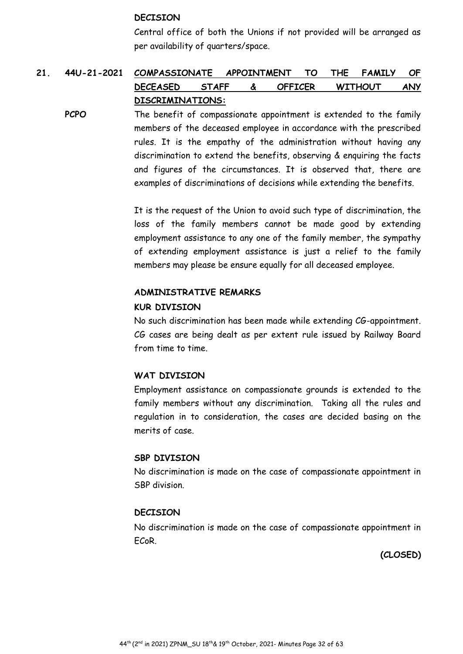#### **DECISION**

Central office of both the Unions if not provided will be arranged as per availability of quarters/space.

# **21. 44U-21-2021 COMPASSIONATE APPOINTMENT TO THE FAMILY OF DECEASED STAFF & OFFICER WITHOUT ANY DISCRIMINATIONS:**

**PCPO** The benefit of compassionate appointment is extended to the family members of the deceased employee in accordance with the prescribed rules. It is the empathy of the administration without having any discrimination to extend the benefits, observing & enquiring the facts and figures of the circumstances. It is observed that, there are examples of discriminations of decisions while extending the benefits.

> It is the request of the Union to avoid such type of discrimination, the loss of the family members cannot be made good by extending employment assistance to any one of the family member, the sympathy of extending employment assistance is just a relief to the family members may please be ensure equally for all deceased employee.

#### **ADMINISTRATIVE REMARKS**

#### **KUR DIVISION**

No such discrimination has been made while extending CG-appointment. CG cases are being dealt as per extent rule issued by Railway Board from time to time.

#### **WAT DIVISION**

Employment assistance on compassionate grounds is extended to the family members without any discrimination. Taking all the rules and regulation in to consideration, the cases are decided basing on the merits of case.

#### **SBP DIVISION**

No discrimination is made on the case of compassionate appointment in SBP division.

#### **DECISION**

No discrimination is made on the case of compassionate appointment in ECoR.

**(CLOSED)**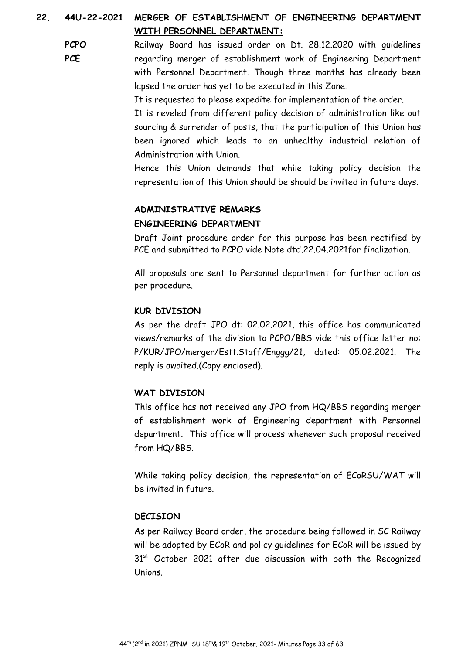# **22. 44U-22-2021 MERGER OF ESTABLISHMENT OF ENGINEERING DEPARTMENT WITH PERSONNEL DEPARTMENT:**

**PCPO PCE**  Railway Board has issued order on Dt. 28.12.2020 with guidelines regarding merger of establishment work of Engineering Department with Personnel Department. Though three months has already been lapsed the order has yet to be executed in this Zone.

It is requested to please expedite for implementation of the order.

It is reveled from different policy decision of administration like out sourcing & surrender of posts, that the participation of this Union has been ignored which leads to an unhealthy industrial relation of Administration with Union.

Hence this Union demands that while taking policy decision the representation of this Union should be should be invited in future days.

#### **ADMINISTRATIVE REMARKS**

#### **ENGINEERING DEPARTMENT**

Draft Joint procedure order for this purpose has been rectified by PCE and submitted to PCPO vide Note dtd.22.04.2021for finalization.

All proposals are sent to Personnel department for further action as per procedure.

#### **KUR DIVISION**

As per the draft JPO dt: 02.02.2021, this office has communicated views/remarks of the division to PCPO/BBS vide this office letter no: P/KUR/JPO/merger/Estt.Staff/Enggg/21, dated: 05.02.2021. The reply is awaited.(Copy enclosed).

#### **WAT DIVISION**

This office has not received any JPO from HQ/BBS regarding merger of establishment work of Engineering department with Personnel department. This office will process whenever such proposal received from HQ/BBS.

While taking policy decision, the representation of ECoRSU/WAT will be invited in future.

#### **DECISION**

As per Railway Board order, the procedure being followed in SC Railway will be adopted by ECoR and policy guidelines for ECoR will be issued by  $31<sup>st</sup>$  October 2021 after due discussion with both the Recognized Unions.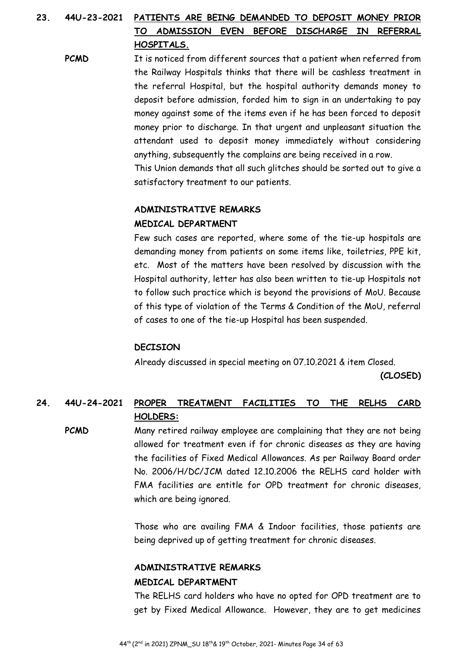# **23. 44U-23-2021 PATIENTS ARE BEING DEMANDED TO DEPOSIT MONEY PRIOR TO ADMISSION EVEN BEFORE DISCHARGE IN REFERRAL HOSPITALS.**

**PCMD** It is noticed from different sources that a patient when referred from the Railway Hospitals thinks that there will be cashless treatment in the referral Hospital, but the hospital authority demands money to deposit before admission, forded him to sign in an undertaking to pay money against some of the items even if he has been forced to deposit money prior to discharge. In that urgent and unpleasant situation the attendant used to deposit money immediately without considering anything, subsequently the complains are being received in a row. This Union demands that all such glitches should be sorted out to give a

satisfactory treatment to our patients.

#### **ADMINISTRATIVE REMARKS**

#### **MEDICAL DEPARTMENT**

Few such cases are reported, where some of the tie-up hospitals are demanding money from patients on some items like, toiletries, PPE kit, etc. Most of the matters have been resolved by discussion with the Hospital authority, letter has also been written to tie-up Hospitals not to follow such practice which is beyond the provisions of MoU. Because of this type of violation of the Terms & Condition of the MoU, referral of cases to one of the tie-up Hospital has been suspended.

#### **DECISION**

Already discussed in special meeting on 07.10.2021 & item Closed.

**(CLOSED)** 

# **24. 44U-24-2021 PROPER TREATMENT FACILITIES TO THE RELHS CARD HOLDERS:**

**PCMD** Many retired railway employee are complaining that they are not being allowed for treatment even if for chronic diseases as they are having the facilities of Fixed Medical Allowances. As per Railway Board order No. 2006/H/DC/JCM dated 12.10.2006 the RELHS card holder with FMA facilities are entitle for OPD treatment for chronic diseases, which are being ignored.

> Those who are availing FMA & Indoor facilities, those patients are being deprived up of getting treatment for chronic diseases.

# **ADMINISTRATIVE REMARKS**

#### **MEDICAL DEPARTMENT**

The RELHS card holders who have no opted for OPD treatment are to get by Fixed Medical Allowance. However, they are to get medicines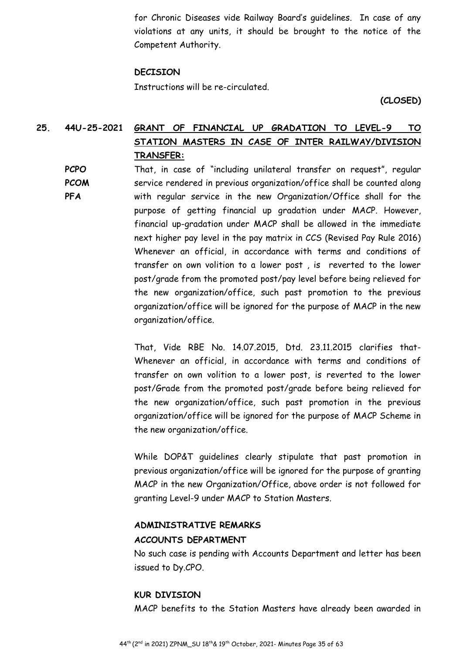for Chronic Diseases vide Railway Board's guidelines. In case of any violations at any units, it should be brought to the notice of the Competent Authority.

#### **DECISION**

Instructions will be re-circulated.

**(CLOSED)** 

# **25. 44U-25-2021 GRANT OF FINANCIAL UP GRADATION TO LEVEL-9 TO STATION MASTERS IN CASE OF INTER RAILWAY/DIVISION TRANSFER:**

**PCPO PCOM PFA**  That, in case of "including unilateral transfer on request", regular service rendered in previous organization/office shall be counted along with regular service in the new Organization/Office shall for the purpose of getting financial up gradation under MACP. However, financial up-gradation under MACP shall be allowed in the immediate next higher pay level in the pay matrix in CCS (Revised Pay Rule 2016) Whenever an official, in accordance with terms and conditions of transfer on own volition to a lower post , is reverted to the lower post/grade from the promoted post/pay level before being relieved for the new organization/office, such past promotion to the previous organization/office will be ignored for the purpose of MACP in the new organization/office.

> That, Vide RBE No. 14.07.2015, Dtd. 23.11.2015 clarifies that-Whenever an official, in accordance with terms and conditions of transfer on own volition to a lower post, is reverted to the lower post/Grade from the promoted post/grade before being relieved for the new organization/office, such past promotion in the previous organization/office will be ignored for the purpose of MACP Scheme in the new organization/office.

> While DOP&T guidelines clearly stipulate that past promotion in previous organization/office will be ignored for the purpose of granting MACP in the new Organization/Office, above order is not followed for granting Level-9 under MACP to Station Masters.

#### **ADMINISTRATIVE REMARKS**

#### **ACCOUNTS DEPARTMENT**

No such case is pending with Accounts Department and letter has been issued to Dy.CPO.

#### **KUR DIVISION**

MACP benefits to the Station Masters have already been awarded in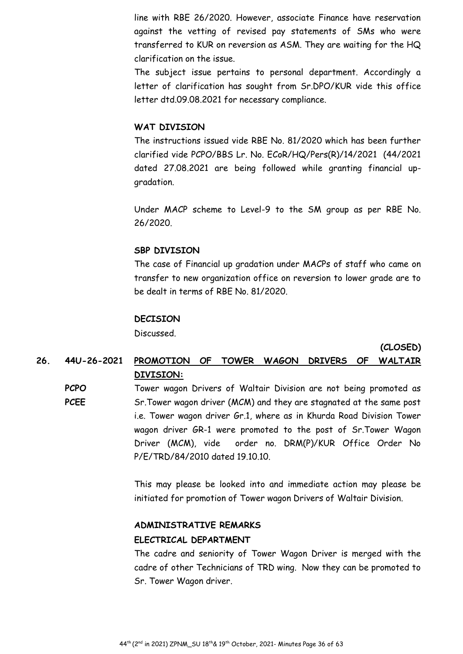line with RBE 26/2020. However, associate Finance have reservation against the vetting of revised pay statements of SMs who were transferred to KUR on reversion as ASM. They are waiting for the HQ clarification on the issue.

The subject issue pertains to personal department. Accordingly a letter of clarification has sought from Sr.DPO/KUR vide this office letter dtd.09.08.2021 for necessary compliance.

#### **WAT DIVISION**

The instructions issued vide RBE No. 81/2020 which has been further clarified vide PCPO/BBS Lr. No. ECoR/HQ/Pers(R)/14/2021 (44/2021 dated 27.08.2021 are being followed while granting financial upgradation.

Under MACP scheme to Level-9 to the SM group as per RBE No. 26/2020.

#### **SBP DIVISION**

The case of Financial up gradation under MACPs of staff who came on transfer to new organization office on reversion to lower grade are to be dealt in terms of RBE No. 81/2020.

#### **DECISION**

Discussed.

**(CLOSED)** 

# **26. 44U-26-2021 PROMOTION OF TOWER WAGON DRIVERS OF WALTAIR DIVISION:**

**PCPO PCEE**  Tower wagon Drivers of Waltair Division are not being promoted as Sr.Tower wagon driver (MCM) and they are stagnated at the same post i.e. Tower wagon driver Gr.1, where as in Khurda Road Division Tower wagon driver GR-1 were promoted to the post of Sr.Tower Wagon Driver (MCM), vide order no. DRM(P)/KUR Office Order No P/E/TRD/84/2010 dated 19.10.10.

> This may please be looked into and immediate action may please be initiated for promotion of Tower wagon Drivers of Waltair Division.

#### **ADMINISTRATIVE REMARKS**

#### **ELECTRICAL DEPARTMENT**

The cadre and seniority of Tower Wagon Driver is merged with the cadre of other Technicians of TRD wing. Now they can be promoted to Sr. Tower Wagon driver.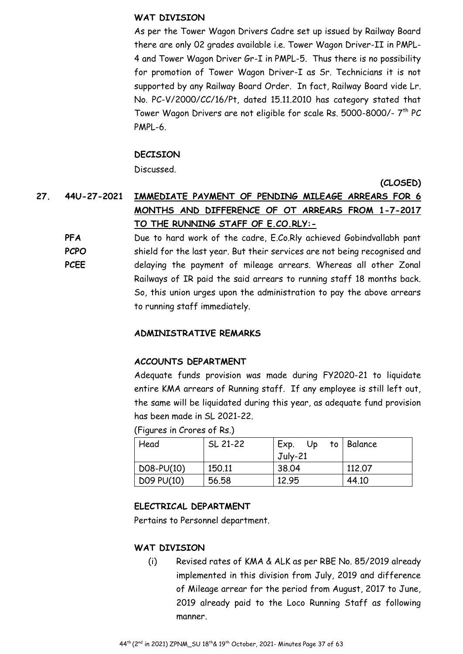## **WAT DIVISION**

As per the Tower Wagon Drivers Cadre set up issued by Railway Board there are only 02 grades available i.e. Tower Wagon Driver-II in PMPL-4 and Tower Wagon Driver Gr-I in PMPL-5. Thus there is no possibility for promotion of Tower Wagon Driver-I as Sr. Technicians it is not supported by any Railway Board Order. In fact, Railway Board vide Lr. No. PC-V/2000/CC/16/Pt, dated 15.11.2010 has category stated that Tower Wagon Drivers are not eligible for scale Rs. 5000-8000/- 7<sup>th</sup> PC PMPL-6.

## **DECISION**

Discussed.

**(CLOSED)** 

# **27. 44U-27-2021 IMMEDIATE PAYMENT OF PENDING MILEAGE ARREARS FOR 6 MONTHS AND DIFFERENCE OF OT ARREARS FROM 1-7-2017 TO THE RUNNING STAFF OF E.CO.RLY:-**

**PFA PCPO PCEE**  Due to hard work of the cadre, E.Co.Rly achieved Gobindvallabh pant shield for the last year. But their services are not being recognised and delaying the payment of mileage arrears. Whereas all other Zonal Railways of IR paid the said arrears to running staff 18 months back. So, this union urges upon the administration to pay the above arrears to running staff immediately.

#### **ADMINISTRATIVE REMARKS**

#### **ACCOUNTS DEPARTMENT**

Adequate funds provision was made during FY2020-21 to liquidate entire KMA arrears of Running staff. If any employee is still left out, the same will be liquidated during this year, as adequate fund provision has been made in SL 2021-22.

(Figures in Crores of Rs.)

| Head         | SL 21-22 | Exp.<br>Up | to   Balance |
|--------------|----------|------------|--------------|
|              |          | $July-21$  |              |
| $D08-PU(10)$ | 150.11   | 38.04      | 112,07       |
| D09 PU(10)   | 56.58    | 12.95      | 44.10        |

#### **ELECTRICAL DEPARTMENT**

Pertains to Personnel department.

#### **WAT DIVISION**

(i) Revised rates of KMA & ALK as per RBE No. 85/2019 already implemented in this division from July, 2019 and difference of Mileage arrear for the period from August, 2017 to June, 2019 already paid to the Loco Running Staff as following manner.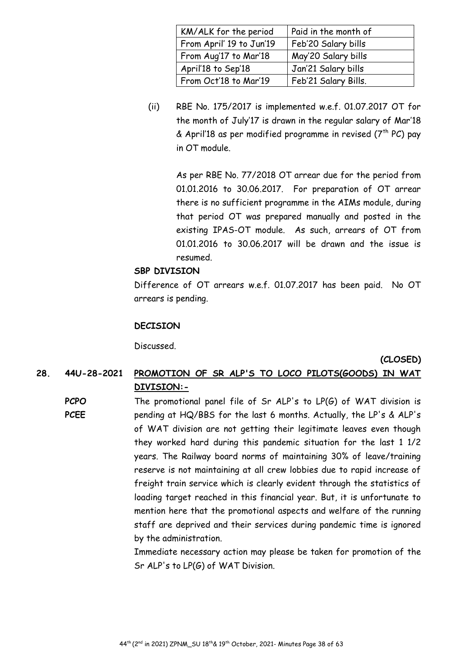| KM/ALK for the period    | Paid in the month of |
|--------------------------|----------------------|
| From April' 19 to Jun'19 | Feb'20 Salary bills  |
| From Aug'17 to Mar'18    | May'20 Salary bills  |
| April'18 to Sep'18       | Jan'21 Salary bills  |
| From Oct'18 to Mar'19    | Feb'21 Salary Bills. |

(ii) RBE No. 175/2017 is implemented w.e.f. 01.07.2017 OT for the month of July'17 is drawn in the regular salary of Mar'18 & April'18 as per modified programme in revised ( $7<sup>th</sup> PC$ ) pay in OT module.

As per RBE No. 77/2018 OT arrear due for the period from 01.01.2016 to 30.06.2017. For preparation of OT arrear there is no sufficient programme in the AIMs module, during that period OT was prepared manually and posted in the existing IPAS-OT module. As such, arrears of OT from 01.01.2016 to 30.06.2017 will be drawn and the issue is resumed.

## **SBP DIVISION**

Difference of OT arrears w.e.f. 01.07.2017 has been paid. No OT arrears is pending.

## **DECISION**

Discussed.

#### **(CLOSED)**

# **28. 44U-28-2021 PROMOTION OF SR ALP'S TO LOCO PILOTS(GOODS) IN WAT DIVISION:-**

**PCPO PCEE**  The promotional panel file of Sr ALP's to LP(G) of WAT division is pending at HQ/BBS for the last 6 months. Actually, the LP's & ALP's of WAT division are not getting their legitimate leaves even though they worked hard during this pandemic situation for the last 1 1/2 years. The Railway board norms of maintaining 30% of leave/training reserve is not maintaining at all crew lobbies due to rapid increase of freight train service which is clearly evident through the statistics of loading target reached in this financial year. But, it is unfortunate to mention here that the promotional aspects and welfare of the running staff are deprived and their services during pandemic time is ignored by the administration.

Immediate necessary action may please be taken for promotion of the Sr ALP's to LP(G) of WAT Division.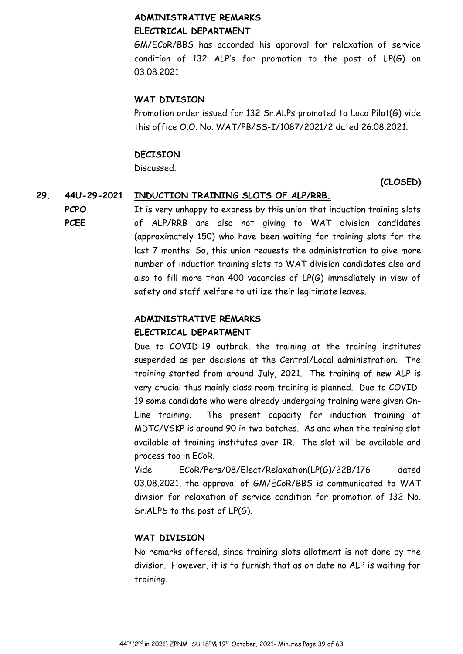# **ADMINISTRATIVE REMARKS ELECTRICAL DEPARTMENT**

GM/ECoR/BBS has accorded his approval for relaxation of service condition of 132 ALP's for promotion to the post of LP(G) on 03.08.2021.

# **WAT DIVISION**

Promotion order issued for 132 Sr.ALPs promoted to Loco Pilot(G) vide this office O.O. No. WAT/PB/SS-I/1087/2021/2 dated 26.08.2021.

# **DECISION**

Discussed.

# **(CLOSED)**

# **29. 44U-29-2021 INDUCTION TRAINING SLOTS OF ALP/RRB.**

**PCPO PCEE**  It is very unhappy to express by this union that induction training slots of ALP/RRB are also not giving to WAT division candidates (approximately 150) who have been waiting for training slots for the last 7 months. So, this union requests the administration to give more number of induction training slots to WAT division candidates also and also to fill more than 400 vacancies of LP(G) immediately in view of safety and staff welfare to utilize their legitimate leaves.

# **ADMINISTRATIVE REMARKS**

# **ELECTRICAL DEPARTMENT**

Due to COVID-19 outbrak, the training at the training institutes suspended as per decisions at the Central/Local administration. The training started from around July, 2021. The training of new ALP is very crucial thus mainly class room training is planned. Due to COVID-19 some candidate who were already undergoing training were given On-Line training. The present capacity for induction training at MDTC/VSKP is around 90 in two batches. As and when the training slot available at training institutes over IR. The slot will be available and process too in ECoR.

Vide ECoR/Pers/08/Elect/Relaxation(LP(G)/22B/176 dated 03.08.2021, the approval of GM/ECoR/BBS is communicated to WAT division for relaxation of service condition for promotion of 132 No. Sr.ALPS to the post of LP(G).

# **WAT DIVISION**

No remarks offered, since training slots allotment is not done by the division. However, it is to furnish that as on date no ALP is waiting for training.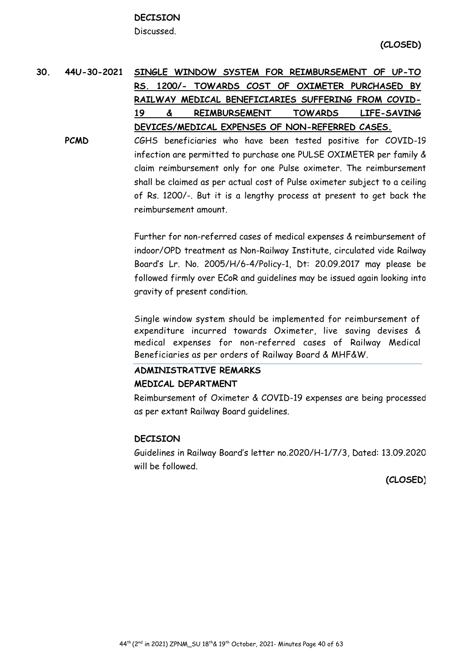# **DECISION**

Discussed.

# **30. 44U-30-2021 SINGLE WINDOW SYSTEM FOR REIMBURSEMENT OF UP-TO RS. 1200/- TOWARDS COST OF OXIMETER PURCHASED BY RAILWAY MEDICAL BENEFICIARIES SUFFERING FROM COVID-19 & REIMBURSEMENT TOWARDS LIFE-SAVING DEVICES/MEDICAL EXPENSES OF NON-REFERRED CASES.**

**PCMD** CGHS beneficiaries who have been tested positive for COVID-19 infection are permitted to purchase one PULSE OXIMETER per family & claim reimbursement only for one Pulse oximeter. The reimbursement shall be claimed as per actual cost of Pulse oximeter subject to a ceiling of Rs. 1200/-. But it is a lengthy process at present to get back the reimbursement amount.

> Further for non-referred cases of medical expenses & reimbursement of indoor/OPD treatment as Non-Railway Institute, circulated vide Railway Board's Lr. No. 2005/H/6-4/Policy-1, Dt: 20.09.2017 may please be followed firmly over ECoR and guidelines may be issued again looking into gravity of present condition.

Single window system should be implemented for reimbursement of expenditure incurred towards Oximeter, live saving devises & medical expenses for non-referred cases of Railway Medical Beneficiaries as per orders of Railway Board & MHF&W.

# **ADMINISTRATIVE REMARKS**

# **MEDICAL DEPARTMENT**

Reimbursement of Oximeter & COVID-19 expenses are being processed as per extant Railway Board guidelines.

#### **DECISION**

Guidelines in Railway Board's letter no.2020/H-1/7/3, Dated: 13.09.2020 will be followed.

**(CLOSED)**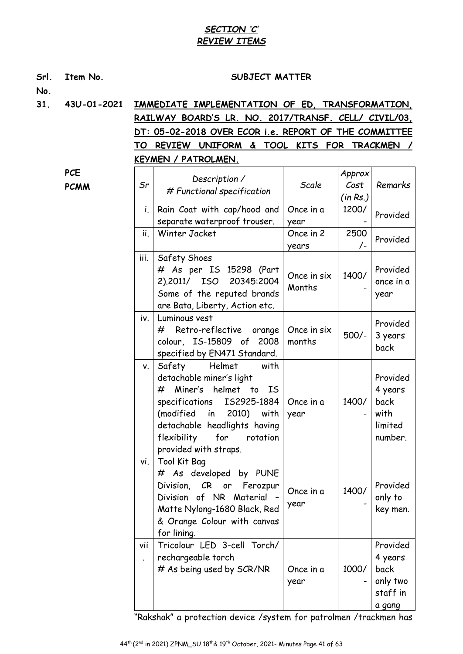# *SECTION 'C' REVIEW ITEMS*

| Srl.<br>No. | Item No.    | SUBJECT MATTER                                                                                          |                                                                                                                                                                                                                                                   |                       |                  |                                                               |  |  |  |
|-------------|-------------|---------------------------------------------------------------------------------------------------------|---------------------------------------------------------------------------------------------------------------------------------------------------------------------------------------------------------------------------------------------------|-----------------------|------------------|---------------------------------------------------------------|--|--|--|
| 31.         | 43U-01-2021 | IMMEDIATE IMPLEMENTATION OF ED, TRANSFORMATION,<br>RAILWAY BOARD'S LR. NO. 2017/TRANSF. CELL/ CIVIL/03, |                                                                                                                                                                                                                                                   |                       |                  |                                                               |  |  |  |
|             |             | <b>TO</b>                                                                                               | DT: 05-02-2018 OVER ECOR i.e. REPORT OF THE COMMITTEE<br>REVIEW UNIFORM & TOOL KITS FOR TRACKMEN                                                                                                                                                  |                       |                  |                                                               |  |  |  |
|             |             |                                                                                                         | KEYMEN / PATROLMEN.                                                                                                                                                                                                                               |                       |                  | $\sqrt{ }$                                                    |  |  |  |
|             | <b>PCE</b>  |                                                                                                         |                                                                                                                                                                                                                                                   |                       | Approx           |                                                               |  |  |  |
|             | <b>PCMM</b> | Sr                                                                                                      | Description /<br># Functional specification                                                                                                                                                                                                       | Scale                 | Cost<br>(in Rs.) | Remarks                                                       |  |  |  |
|             |             | i.                                                                                                      | Rain Coat with cap/hood and<br>separate waterproof trouser.                                                                                                                                                                                       | Once in a<br>year     | 1200/            | Provided                                                      |  |  |  |
|             |             | ii.                                                                                                     | Winter Jacket                                                                                                                                                                                                                                     | Once in 2<br>years    | 2500<br>$/$ -    | Provided                                                      |  |  |  |
|             |             | iii.                                                                                                    | Safety Shoes<br># As per IS 15298 (Part<br>2).2011/ ISO<br>20345:2004<br>Some of the reputed brands<br>are Bata, Liberty, Action etc.                                                                                                             | Once in six<br>Months | 1400/            | Provided<br>once in a<br>year                                 |  |  |  |
|             |             | iv.                                                                                                     | Luminous vest<br>Retro-reflective<br>#<br>orange<br>colour, IS-15809 of 2008<br>specified by EN471 Standard.                                                                                                                                      | Once in six<br>months | $500/-$          | Provided<br>3 years<br>back                                   |  |  |  |
|             |             | V.                                                                                                      | Safety<br>Helmet<br>with<br>detachable miner's light<br>Miner's helmet to IS<br>#<br>specifications<br>IS2925-1884<br>(modified<br>2010)<br>with<br>in<br>detachable headlights having<br>flexibility<br>for<br>rotation<br>provided with straps. | Once in a<br>year     | 1400/            | Provided<br>4 years<br>back<br>with<br>limited<br>number.     |  |  |  |
|             |             | vi.                                                                                                     | Tool Kit Bag<br># As developed by PUNE<br>Division, CR or<br>Ferozpur<br>Division of NR Material<br>Matte Nylong-1680 Black, Red<br>& Orange Colour with canvas<br>for lining.                                                                    | Once in a<br>year     | 1400/            | Provided<br>only to<br>key men.                               |  |  |  |
|             |             | vii<br>$\ddot{\phantom{0}}$                                                                             | Tricolour LED 3-cell Torch/<br>rechargeable torch<br># As being used by SCR/NR                                                                                                                                                                    | Once in a<br>year     | 1000/            | Provided<br>4 years<br>back<br>only two<br>staff in<br>a gang |  |  |  |

"Rakshak" a protection device /system for patrolmen /trackmen has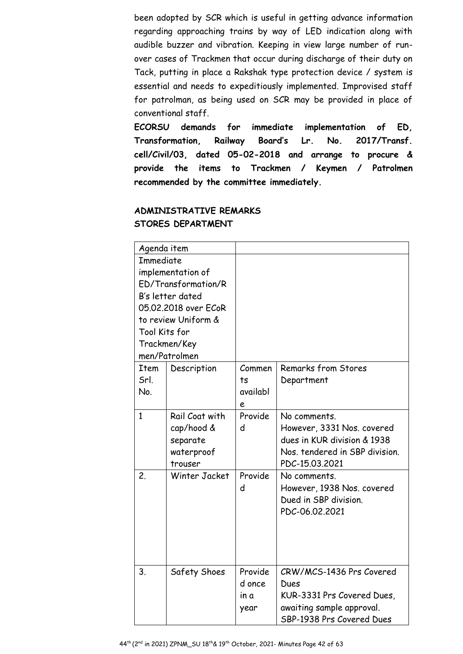been adopted by SCR which is useful in getting advance information regarding approaching trains by way of LED indication along with audible buzzer and vibration. Keeping in view large number of runover cases of Trackmen that occur during discharge of their duty on Tack, putting in place a Rakshak type protection device / system is essential and needs to expeditiously implemented. Improvised staff for patrolman, as being used on SCR may be provided in place of conventional staff.

**ECORSU demands for immediate implementation of ED, Transformation, Railway Board's Lr. No. 2017/Transf. cell/Civil/03, dated 05-02-2018 and arrange to procure & provide the items to Trackmen / Keymen / Patrolmen recommended by the committee immediately.** 

# **ADMINISTRATIVE REMARKS STORES DEPARTMENT**

| Agenda item      |                      |          |                                |
|------------------|----------------------|----------|--------------------------------|
| <b>Immediate</b> |                      |          |                                |
|                  | implementation of    |          |                                |
|                  | ED/Transformation/R  |          |                                |
|                  | B's letter dated     |          |                                |
|                  | 05.02.2018 over ECoR |          |                                |
|                  | to review Uniform &  |          |                                |
| Tool Kits for    |                      |          |                                |
|                  | Trackmen/Key         |          |                                |
|                  | men/Patrolmen        |          |                                |
| <b>Item</b>      | Description          | Commen   | Remarks from Stores            |
| Srl.             |                      | ts       | Department                     |
| No.              |                      | availabl |                                |
|                  |                      | е        |                                |
| $\mathbf{1}$     | Rail Coat with       | Provide  | No comments.                   |
|                  | cap/hood &           | d        | However, 3331 Nos. covered     |
|                  | separate             |          | dues in KUR division & 1938    |
|                  | waterproof           |          | Nos. tendered in SBP division. |
|                  | trouser              |          | PDC-15.03.2021                 |
| 2.               | Winter Jacket        | Provide  | No comments.                   |
|                  |                      | d        | However, 1938 Nos. covered     |
|                  |                      |          | Dued in SBP division.          |
|                  |                      |          | PDC-06.02.2021                 |
|                  |                      |          |                                |
|                  |                      |          |                                |
|                  |                      |          |                                |
|                  |                      |          |                                |
| 3.               | Safety Shoes         | Provide  | CRW/MCS-1436 Prs Covered       |
|                  |                      | d once   | Dues                           |
|                  |                      | in a     | KUR-3331 Prs Covered Dues,     |
|                  |                      | year     | awaiting sample approval.      |
|                  |                      |          | SBP-1938 Prs Covered Dues      |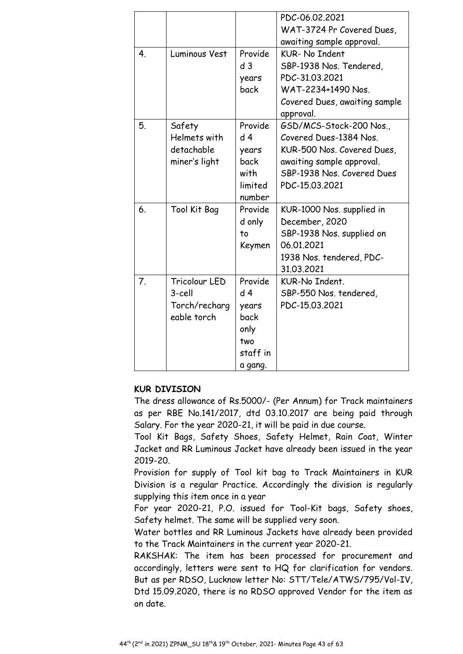|                  |               |                | PDC-06.02.2021                             |
|------------------|---------------|----------------|--------------------------------------------|
|                  |               |                | WAT-3724 Pr Covered Dues,                  |
|                  |               |                | awaiting sample approval.                  |
| 4.               | Luminous Vest | Provide        | <b>KUR- No Indent</b>                      |
|                  |               | d <sub>3</sub> | SBP-1938 Nos. Tendered,                    |
|                  |               | years          | PDC-31.03.2021                             |
|                  |               | back           | WAT-2234+1490 Nos.                         |
|                  |               |                | Covered Dues, awaiting sample<br>approval. |
| 5.               | Safety        | Provide        | GSD/MCS-Stock-200 Nos.,                    |
|                  | Helmets with  | d <sub>4</sub> | Covered Dues-1384 Nos.                     |
|                  | detachable    | years          | KUR-500 Nos. Covered Dues,                 |
|                  | miner's light | back           | awaiting sample approval.                  |
|                  |               | with           | SBP-1938 Nos. Covered Dues                 |
|                  |               | limited        | PDC-15.03.2021                             |
|                  |               | number         |                                            |
| 6.               | Tool Kit Bag  | Provide        | KUR-1000 Nos. supplied in                  |
|                  |               | d only         | December, 2020                             |
|                  |               | to             | SBP-1938 Nos. supplied on                  |
|                  |               | Keymen         | 06.01.2021                                 |
|                  |               |                | 1938 Nos. tendered, PDC-                   |
|                  |               |                | 31.03.2021                                 |
| $\overline{7}$ . | Tricolour LED | Provide        | KUR-No Indent.                             |
|                  | 3-cell        | d <sub>4</sub> | SBP-550 Nos. tendered,                     |
|                  | Torch/recharg | years          | PDC-15.03.2021                             |
|                  | eable torch   | back           |                                            |
|                  |               | only           |                                            |
|                  |               | two            |                                            |
|                  |               | staff in       |                                            |
|                  |               | a gang.        |                                            |

# **KUR DIVISION**

The dress allowance of Rs.5000/- (Per Annum) for Track maintainers as per RBE No.141/2017, dtd 03.10.2017 are being paid through Salary. For the year 2020-21, it will be paid in due course.

Tool Kit Bags, Safety Shoes, Safety Helmet, Rain Coat, Winter Jacket and RR Luminous Jacket have already been issued in the year 2019-20.

Provision for supply of Tool kit bag to Track Maintainers in KUR Division is a regular Practice. Accordingly the division is regularly supplying this item once in a year

For year 2020-21, P.O. issued for Tool-Kit bags, Safety shoes, Safety helmet. The same will be supplied very soon.

Water bottles and RR Luminous Jackets have already been provided to the Track Maintainers in the current year 2020-21.

RAKSHAK: The item has been processed for procurement and accordingly, letters were sent to HQ for clarification for vendors. But as per RDSO, Lucknow letter No: STT/Tele/ATWS/795/Vol-IV, Dtd 15.09.2020, there is no RDSO approved Vendor for the item as on date.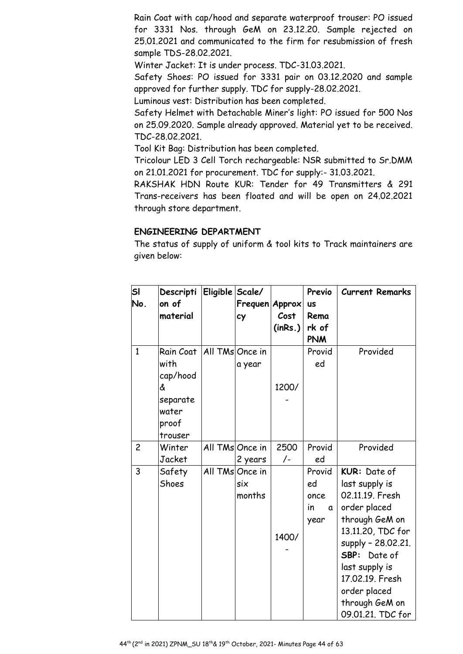Rain Coat with cap/hood and separate waterproof trouser: PO issued for 3331 Nos. through GeM on 23.12.20. Sample rejected on 25.01.2021 and communicated to the firm for resubmission of fresh sample TDS-28.02.2021.

Winter Jacket: It is under process. TDC-31.03.2021.

Safety Shoes: PO issued for 3331 pair on 03.12.2020 and sample approved for further supply. TDC for supply-28.02.2021.

Luminous vest: Distribution has been completed.

Safety Helmet with Detachable Miner's light: PO issued for 500 Nos on 25.09.2020. Sample already approved. Material yet to be received. TDC-28.02.2021.

Tool Kit Bag: Distribution has been completed.

Tricolour LED 3 Cell Torch rechargeable: NSR submitted to Sr.DMM on 21.01.2021 for procurement. TDC for supply:- 31.03.2021.

RAKSHAK HDN Route KUR: Tender for 49 Transmitters & 291 Trans-receivers has been floated and will be open on 24.02.2021 through store department.

#### **ENGINEERING DEPARTMENT**

The status of supply of uniform & tool kits to Track maintainers are given below:

| SI<br>No.      | Descripti<br>on of                                                          | Eligible Scale/ |                                  |                 | Previo                                   | <b>Current Remarks</b>                                                                                                                                                                                                                     |
|----------------|-----------------------------------------------------------------------------|-----------------|----------------------------------|-----------------|------------------------------------------|--------------------------------------------------------------------------------------------------------------------------------------------------------------------------------------------------------------------------------------------|
|                | material                                                                    |                 | Frequen Approx<br>cy             | Cost<br>(inRs.) | <b>US</b><br>Rema<br>rk of<br><b>PNM</b> |                                                                                                                                                                                                                                            |
| $\mathbf{1}$   | Rain Coat<br>with<br>cap/hood<br>&<br>separate<br>water<br>proof<br>trouser |                 | All TMs Once in<br>a year        | 1200/           | Provid<br>ed                             | Provided                                                                                                                                                                                                                                   |
| $\overline{c}$ | Winter<br>Jacket                                                            |                 | All TMs Once in<br>2 years       | 2500<br>/-      | Provid<br>ed                             | Provided                                                                                                                                                                                                                                   |
| 3              | Safety<br>Shoes                                                             |                 | All TMs Once in<br>six<br>months | 1400/           | Provid<br>ed<br>once<br>in<br>a<br>year  | KUR: Date of<br>last supply is<br>02.11.19. Fresh<br>order placed<br>through GeM on<br>13.11.20, TDC for<br>supply - 28.02.21.<br>SBP: Date of<br>last supply is<br>17.02.19. Fresh<br>order placed<br>through GeM on<br>09.01.21. TDC for |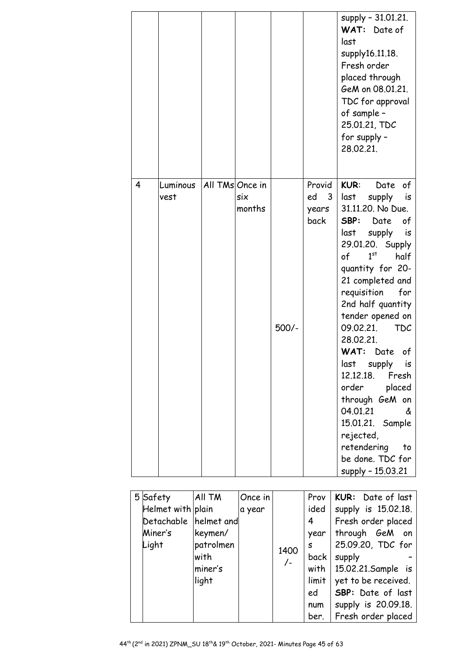|   |                  |                 |               |       |                                    | supply - 31.01.21.<br>WAT: Date of<br>last<br>supply16.11.18.<br>Fresh order<br>placed through<br>GeM on 08.01.21.<br>TDC for approval<br>of sample -<br>25.01.21, TDC<br>for supply -<br>28.02.21.                                                                                                                                                                                                                                                                                                                                                        |
|---|------------------|-----------------|---------------|-------|------------------------------------|------------------------------------------------------------------------------------------------------------------------------------------------------------------------------------------------------------------------------------------------------------------------------------------------------------------------------------------------------------------------------------------------------------------------------------------------------------------------------------------------------------------------------------------------------------|
| 4 | Luminous<br>vest | All TMs Once in | six<br>months | 500/- | Provid<br>ed<br>3<br>years<br>back | <b>KUR:</b><br>of<br>Date<br>last<br>supply<br>is<br>31.11.20. No Due.<br>SBP:<br>Date<br>of<br>last<br>supply<br>is<br>29.01.20. Supply<br>1 <sup>st</sup><br>half<br>of<br>quantity for 20-<br>21 completed and<br>requisition<br>for<br>2nd half quantity<br>tender opened on<br><b>TDC</b><br>09.02.21.<br>28.02.21.<br>WAT:<br>Date<br>of<br>last<br>supply<br>is.<br>12.12.18. Fresh<br>order<br>placed<br>through GeM on<br>04.01.21<br>&<br>15.01.21. Sample<br>rejected,<br>retendering<br>$\mathsf{to}$<br>be done. TDC for<br>supply - 15.03.21 |

|  | 5 Safety              | All TM    | Once in |       | Prov  | KUR: Date of last           |
|--|-----------------------|-----------|---------|-------|-------|-----------------------------|
|  | Helmet with plain     |           | a year  |       | ided  | supply is 15.02.18.         |
|  | Detachable helmet and |           |         |       | 4     | Fresh order placed          |
|  | Miner's               | keymen/   |         |       | year  | through GeM on              |
|  | Light                 | patrolmen |         | 1400  | S.    | 25.09.20, TDC for           |
|  |                       | with      |         | $/$ - | back  | supply                      |
|  |                       | miner's   |         |       |       | with $15.02.21$ . Sample is |
|  |                       | light     |         |       | limit | yet to be received.         |
|  |                       |           |         |       | ed    | <b>SBP:</b> Date of last    |
|  |                       |           |         |       | num   | supply is 20.09.18.         |
|  |                       |           |         |       |       | ber.   Fresh order placed   |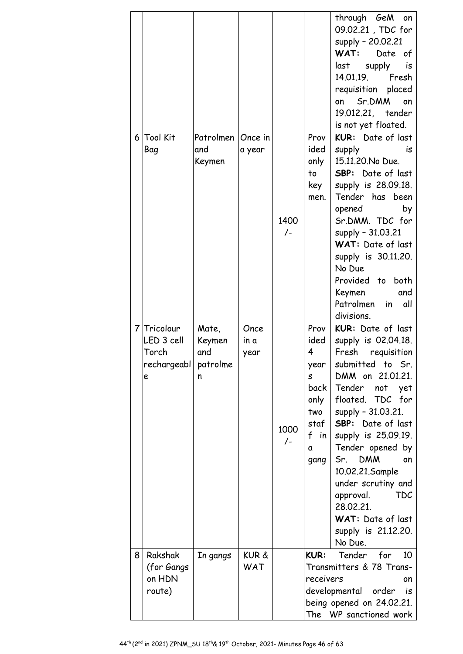|                |                           |                   |              |               |              | through GeM<br>on<br>09.02.21, TDC for<br>supply - 20.02.21<br>WAT:<br>Date of<br>last<br>supply<br>is<br>14.01.19. Fresh<br>requisition placed<br>Sr.DMM<br>on<br>on<br>19.012.21, tender<br>is not yet floated. |
|----------------|---------------------------|-------------------|--------------|---------------|--------------|-------------------------------------------------------------------------------------------------------------------------------------------------------------------------------------------------------------------|
| 6 <sup>1</sup> | Tool Kit                  | Patrolmen Once in |              |               | Prov         | KUR: Date of last                                                                                                                                                                                                 |
|                | Bag                       | and<br>Keymen     | a year       |               | ided<br>only | supply<br>is<br>15.11.20. No Due.                                                                                                                                                                                 |
|                |                           |                   |              |               | to           | <b>SBP:</b> Date of last                                                                                                                                                                                          |
|                |                           |                   |              |               | key          | supply is 28.09.18.                                                                                                                                                                                               |
|                |                           |                   |              |               | men.         | Tender has been<br>opened<br>by                                                                                                                                                                                   |
|                |                           |                   |              | 1400          |              | Sr.DMM. TDC for                                                                                                                                                                                                   |
|                |                           |                   |              | $/$ -         |              | supply - 31.03.21                                                                                                                                                                                                 |
|                |                           |                   |              |               |              | WAT: Date of last<br>supply is 30.11.20.                                                                                                                                                                          |
|                |                           |                   |              |               |              | No Due                                                                                                                                                                                                            |
|                |                           |                   |              |               |              | Provided to both<br>Keymen<br>and                                                                                                                                                                                 |
|                |                           |                   |              |               |              | Patrolmen<br>in<br>all                                                                                                                                                                                            |
|                |                           |                   |              |               |              | divisions.                                                                                                                                                                                                        |
|                | 7 Tricolour<br>LED 3 cell | Mate,<br>Keymen   | Once<br>in a |               | Prov<br>ided | KUR: Date of last<br>supply is 02.04.18.                                                                                                                                                                          |
|                | Torch                     | and               | year         |               | 4            | Fresh requisition                                                                                                                                                                                                 |
|                | rechargeabl <br>e         | patrolme<br>n     |              |               | year<br>S    | submitted to Sr.<br>DMM on 21.01.21.                                                                                                                                                                              |
|                |                           |                   |              |               | back         | Tender<br>not<br>yet                                                                                                                                                                                              |
|                |                           |                   |              |               | only         | floated. TDC for                                                                                                                                                                                                  |
|                |                           |                   |              |               | two<br>staf  | supply - 31.03.21.<br>SBP: Date of last                                                                                                                                                                           |
|                |                           |                   |              | 1000<br>$/$ - | f in         | supply is 25.09.19.                                                                                                                                                                                               |
|                |                           |                   |              |               | a            | Tender opened by                                                                                                                                                                                                  |
|                |                           |                   |              |               | gang         | <b>DMM</b><br>Sr.<br>on<br>10.02.21.Sample                                                                                                                                                                        |
|                |                           |                   |              |               |              | under scrutiny and                                                                                                                                                                                                |
|                |                           |                   |              |               |              | TDC<br>approval.<br>28.02.21.                                                                                                                                                                                     |
|                |                           |                   |              |               |              | WAT: Date of last                                                                                                                                                                                                 |
|                |                           |                   |              |               |              | supply is 21.12.20.                                                                                                                                                                                               |
| 8              | Rakshak                   | In gangs          | KUR &        |               | <b>KUR:</b>  | No Due.<br>Tender<br>for<br>10                                                                                                                                                                                    |
|                | (for Gangs                |                   | WAT          |               |              | Transmitters & 78 Trans-                                                                                                                                                                                          |
|                | on HDN                    |                   |              |               | receivers    | on                                                                                                                                                                                                                |
|                | route)                    |                   |              |               |              | developmental order<br>is<br>being opened on 24.02.21.                                                                                                                                                            |
|                |                           |                   |              |               | The          | WP sanctioned work                                                                                                                                                                                                |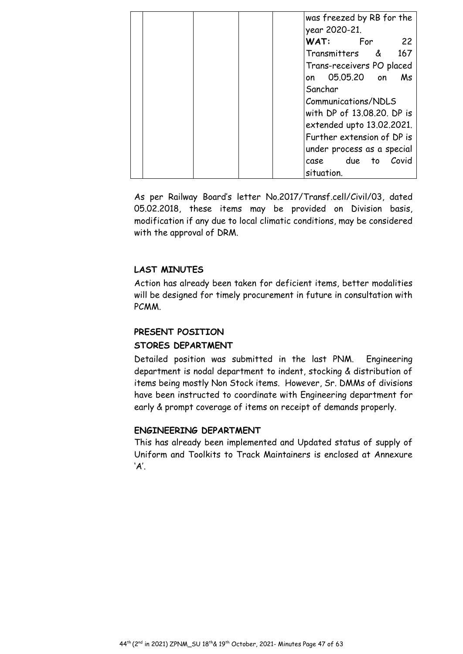|  |  | was freezed by RB for the             |
|--|--|---------------------------------------|
|  |  | year 2020-21.                         |
|  |  | WAT:<br>For<br>22                     |
|  |  | 167<br>Transmitters<br><u> &amp; </u> |
|  |  | Trans-receivers PO placed             |
|  |  | 05.05.20 on<br>Ms<br>on               |
|  |  | Sanchar                               |
|  |  | Communications/NDLS                   |
|  |  | with DP of 13,08,20. DP is            |
|  |  | extended upto 13.02.2021.             |
|  |  | Further extension of DP is            |
|  |  | under process as a special            |
|  |  | due<br>Covid<br>to<br>case            |
|  |  | situation.                            |

As per Railway Board's letter No.2017/Transf.cell/Civil/03, dated 05.02.2018, these items may be provided on Division basis, modification if any due to local climatic conditions, may be considered with the approval of DRM.

# **LAST MINUTES**

Action has already been taken for deficient items, better modalities will be designed for timely procurement in future in consultation with PCMM.

# **PRESENT POSITION STORES DEPARTMENT**

Detailed position was submitted in the last PNM. Engineering department is nodal department to indent, stocking & distribution of items being mostly Non Stock items. However, Sr. DMMs of divisions have been instructed to coordinate with Engineering department for early & prompt coverage of items on receipt of demands properly.

#### **ENGINEERING DEPARTMENT**

This has already been implemented and Updated status of supply of Uniform and Toolkits to Track Maintainers is enclosed at Annexure 'A'.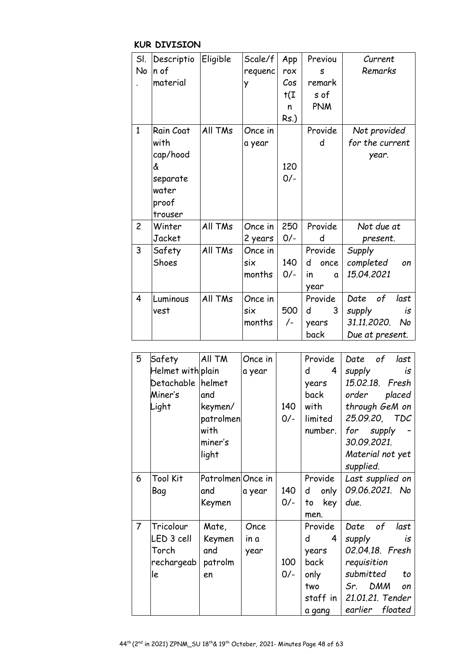# **KUR DIVISION**

| SI.            | Descriptio | Eligible | Scale/f | App                      | Previou        | Current            |
|----------------|------------|----------|---------|--------------------------|----------------|--------------------|
| No             | n of       |          | requenc | rox                      | S              | Remarks            |
|                | material   |          | y       | Cos                      | remark         |                    |
|                |            |          |         | $\mathsf{t}(\mathtt{I})$ | s of           |                    |
|                |            |          |         | n                        | <b>PNM</b>     |                    |
|                |            |          |         | Rs.)                     |                |                    |
| $\mathbf{1}$   | Rain Coat  | All TMs  | Once in |                          | Provide        | Not provided       |
|                | with       |          | a year  |                          | d              | for the current    |
|                | cap/hood   |          |         |                          |                | year.              |
|                | å          |          |         | 120                      |                |                    |
|                | separate   |          |         | $0/-$                    |                |                    |
|                | water      |          |         |                          |                |                    |
|                | proof      |          |         |                          |                |                    |
|                | trouser    |          |         |                          |                |                    |
| $\overline{c}$ | Winter     | All TMs  | Once in | 250                      | Provide        | Not due at         |
|                | Jacket     |          | 2 years | $0/-$                    | d              | present.           |
| 3              | Safety     | All TMs  | Once in |                          | Provide        | Supply             |
|                | Shoes      |          | six     | 140                      | d<br>once      | completed<br>on    |
|                |            |          | months  | $0/-$                    | in<br>$\Omega$ | 15.04.2021         |
|                |            |          |         |                          | year           |                    |
| 4              | Luminous   | All TMs  | Once in |                          | Provide        | Date<br>of<br>last |
|                | vest       |          | six     | 500                      | 3<br>d         | supply<br>is       |
|                |            |          | months  | $/$ -                    | years          | 31.11.2020.<br>No  |
|                |            |          |         |                          | back           | Due at present.    |

| 5              | Safety              | All TM            | Once in |       | Provide      | Date<br>of<br>last |
|----------------|---------------------|-------------------|---------|-------|--------------|--------------------|
|                | Helmet with plain   |                   | a year  |       | d<br>4       | supply<br>is       |
|                | Detachable   helmet |                   |         |       | years        | 15.02.18. Fresh    |
|                | Miner's             | and               |         |       | back         | order<br>placed    |
|                | Light               | keymen/           |         | 140   | with         | through GeM on     |
|                |                     | patrolmen         |         | $0/-$ | limited      | 25.09.20, TDC      |
|                |                     | with              |         |       | number.      | for supply         |
|                |                     | miner's           |         |       |              | 30.09.2021.        |
|                |                     | light             |         |       |              | Material not yet   |
|                |                     |                   |         |       |              | supplied.          |
| 6              | <b>Tool Kit</b>     | Patrolmen Once in |         |       | Provide      | Last supplied on   |
|                | Bag                 | and               | a year  | 140   | d<br>only    | 09.06.2021. No     |
|                |                     | Keymen            |         | $0/-$ | key<br>to    | due.               |
|                |                     |                   |         |       | men.         |                    |
| $\overline{7}$ | Tricolour           | Mate,             | Once    |       | Provide      | Date of<br>last    |
|                | LED 3 cell          | Keymen            | in a    |       | d<br>4       | supply<br>is       |
|                | Torch               | and               | year    |       | years        | 02.04.18. Fresh    |
|                | rechargeab          | patrolm           |         | 100   | back         | requisition        |
|                | le                  | en                |         | $0/-$ | only         | submitted<br>to    |
|                |                     |                   |         |       | two          | Sr. DMM<br>on      |
|                |                     |                   |         |       | staff in $ $ | 21.01.21. Tender   |
|                |                     |                   |         |       | a gang       | earlier<br>floated |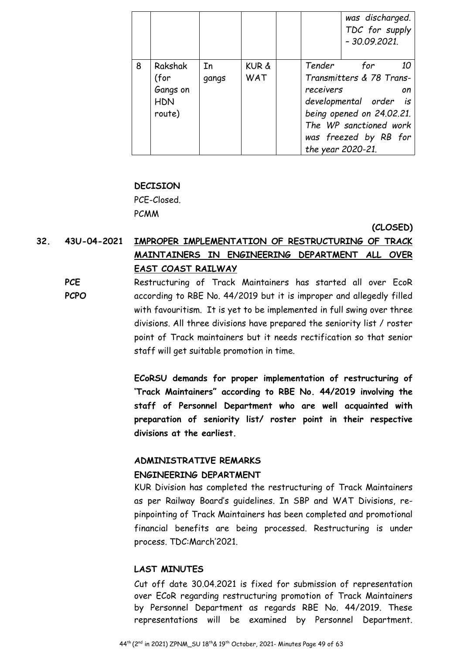|   |                                                     |             |              |                     | was discharged.<br>TDC for supply<br>$-30.09.2021$ .                                                                                                           |          |
|---|-----------------------------------------------------|-------------|--------------|---------------------|----------------------------------------------------------------------------------------------------------------------------------------------------------------|----------|
| 8 | Rakshak<br>(for<br>Gangs on<br><b>HDN</b><br>route) | In<br>gangs | KUR &<br>WAT | Tender<br>receivers | for<br>Transmitters & 78 Trans-<br>developmental order is<br>being opened on 24.02.21.<br>The WP sanctioned work<br>was freezed by RB for<br>the year 2020-21. | 10<br>on |

#### **DECISION**

PCE-Closed. PCMM

**(CLOSED)** 

# **32. 43U-04-2021 IMPROPER IMPLEMENTATION OF RESTRUCTURING OF TRACK MAINTAINERS IN ENGINEERING DEPARTMENT ALL OVER EAST COAST RAILWAY**

**PCE PCPO**  Restructuring of Track Maintainers has started all over EcoR according to RBE No. 44/2019 but it is improper and allegedly filled with favouritism. It is yet to be implemented in full swing over three divisions. All three divisions have prepared the seniority list / roster point of Track maintainers but it needs rectification so that senior staff will get suitable promotion in time.

> **ECoRSU demands for proper implementation of restructuring of 'Track Maintainers" according to RBE No. 44/2019 involving the staff of Personnel Department who are well acquainted with preparation of seniority list/ roster point in their respective divisions at the earliest.**

#### **ADMINISTRATIVE REMARKS**

#### **ENGINEERING DEPARTMENT**

KUR Division has completed the restructuring of Track Maintainers as per Railway Board's guidelines. In SBP and WAT Divisions, repinpointing of Track Maintainers has been completed and promotional financial benefits are being processed. Restructuring is under process. TDC:March'2021.

#### **LAST MINUTES**

Cut off date 30.04.2021 is fixed for submission of representation over ECoR regarding restructuring promotion of Track Maintainers by Personnel Department as regards RBE No. 44/2019. These representations will be examined by Personnel Department.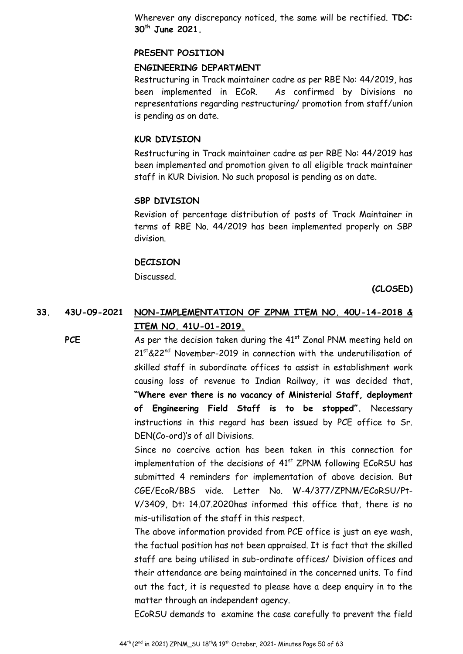Wherever any discrepancy noticed, the same will be rectified. **TDC: 30th June 2021.** 

#### **PRESENT POSITION**

#### **ENGINEERING DEPARTMENT**

Restructuring in Track maintainer cadre as per RBE No: 44/2019, has been implemented in ECoR. As confirmed by Divisions no representations regarding restructuring/ promotion from staff/union is pending as on date.

#### **KUR DIVISION**

Restructuring in Track maintainer cadre as per RBE No: 44/2019 has been implemented and promotion given to all eligible track maintainer staff in KUR Division. No such proposal is pending as on date.

#### **SBP DIVISION**

Revision of percentage distribution of posts of Track Maintainer in terms of RBE No. 44/2019 has been implemented properly on SBP division.

#### **DECISION**

Discussed.

**(CLOSED)** 

# **33. 43U-09-2021 NON-IMPLEMENTATION OF ZPNM ITEM NO. 40U-14-2018 & ITEM NO. 41U-01-2019.**

**PCE** As per the decision taken during the 41<sup>st</sup> Zonal PNM meeting held on 21st &22<sup>nd</sup> November-2019 in connection with the underutilisation of skilled staff in subordinate offices to assist in establishment work causing loss of revenue to Indian Railway, it was decided that, **"Where ever there is no vacancy of Ministerial Staff, deployment of Engineering Field Staff is to be stopped".** Necessary instructions in this regard has been issued by PCE office to Sr. DEN(Co-ord)'s of all Divisions.

> Since no coercive action has been taken in this connection for implementation of the decisions of  $41<sup>st</sup>$  ZPNM following ECoRSU has submitted 4 reminders for implementation of above decision. But CGE/EcoR/BBS vide. Letter No. W-4/377/ZPNM/ECoRSU/Pt-V/3409, Dt: 14.07.2020has informed this office that, there is no mis-utilisation of the staff in this respect.

> The above information provided from PCE office is just an eye wash, the factual position has not been appraised. It is fact that the skilled staff are being utilised in sub-ordinate offices/ Division offices and their attendance are being maintained in the concerned units. To find out the fact, it is requested to please have a deep enquiry in to the matter through an independent agency.

> ECoRSU demands to examine the case carefully to prevent the field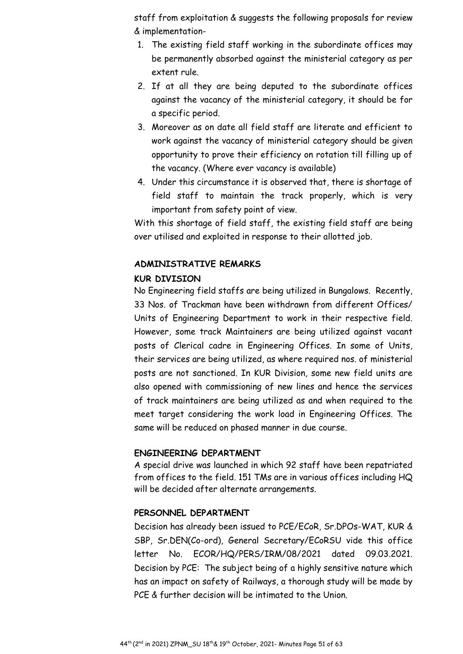staff from exploitation & suggests the following proposals for review & implementation-

- 1. The existing field staff working in the subordinate offices may be permanently absorbed against the ministerial category as per extent rule.
- 2. If at all they are being deputed to the subordinate offices against the vacancy of the ministerial category, it should be for a specific period.
- 3. Moreover as on date all field staff are literate and efficient to work against the vacancy of ministerial category should be given opportunity to prove their efficiency on rotation till filling up of the vacancy. (Where ever vacancy is available)
- 4. Under this circumstance it is observed that, there is shortage of field staff to maintain the track properly, which is very important from safety point of view.

With this shortage of field staff, the existing field staff are being over utilised and exploited in response to their allotted job.

## **ADMINISTRATIVE REMARKS**

#### **KUR DIVISION**

No Engineering field staffs are being utilized in Bungalows. Recently, 33 Nos. of Trackman have been withdrawn from different Offices/ Units of Engineering Department to work in their respective field. However, some track Maintainers are being utilized against vacant posts of Clerical cadre in Engineering Offices. In some of Units, their services are being utilized, as where required nos. of ministerial posts are not sanctioned. In KUR Division, some new field units are also opened with commissioning of new lines and hence the services of track maintainers are being utilized as and when required to the meet target considering the work load in Engineering Offices. The same will be reduced on phased manner in due course.

#### **ENGINEERING DEPARTMENT**

A special drive was launched in which 92 staff have been repatriated from offices to the field. 151 TMs are in various offices including HQ will be decided after alternate arrangements.

#### **PERSONNEL DEPARTMENT**

Decision has already been issued to PCE/ECoR, Sr.DPOs-WAT, KUR & SBP, Sr.DEN(Co-ord), General Secretary/ECoRSU vide this office letter No. ECOR/HQ/PERS/IRM/08/2021 dated 09.03.2021. Decision by PCE: The subject being of a highly sensitive nature which has an impact on safety of Railways, a thorough study will be made by PCE & further decision will be intimated to the Union.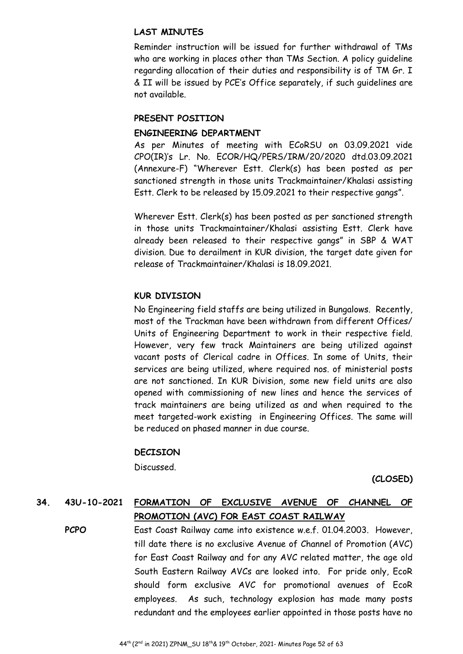## **LAST MINUTES**

Reminder instruction will be issued for further withdrawal of TMs who are working in places other than TMs Section. A policy guideline regarding allocation of their duties and responsibility is of TM Gr. I & II will be issued by PCE's Office separately, if such guidelines are not available.

## **PRESENT POSITION**

## **ENGINEERING DEPARTMENT**

As per Minutes of meeting with ECoRSU on 03.09.2021 vide CPO(IR)'s Lr. No. ECOR/HQ/PERS/IRM/20/2020 dtd.03.09.2021 (Annexure-F) "Wherever Estt. Clerk(s) has been posted as per sanctioned strength in those units Trackmaintainer/Khalasi assisting Estt. Clerk to be released by 15.09.2021 to their respective gangs".

Wherever Estt. Clerk(s) has been posted as per sanctioned strength in those units Trackmaintainer/Khalasi assisting Estt. Clerk have already been released to their respective gangs" in SBP & WAT division. Due to derailment in KUR division, the target date given for release of Trackmaintainer/Khalasi is 18.09.2021.

## **KUR DIVISION**

No Engineering field staffs are being utilized in Bungalows. Recently, most of the Trackman have been withdrawn from different Offices/ Units of Engineering Department to work in their respective field. However, very few track Maintainers are being utilized against vacant posts of Clerical cadre in Offices. In some of Units, their services are being utilized, where required nos. of ministerial posts are not sanctioned. In KUR Division, some new field units are also opened with commissioning of new lines and hence the services of track maintainers are being utilized as and when required to the meet targeted-work existing in Engineering Offices. The same will be reduced on phased manner in due course.

#### **DECISION**

Discussed.

**(CLOSED)** 

# **34. 43U-10-2021 FORMATION OF EXCLUSIVE AVENUE OF CHANNEL OF**

# **PROMOTION (AVC) FOR EAST COAST RAILWAY**

**PCPO** East Coast Railway came into existence w.e.f. 01.04.2003. However, till date there is no exclusive Avenue of Channel of Promotion (AVC) for East Coast Railway and for any AVC related matter, the age old South Eastern Railway AVCs are looked into. For pride only, EcoR should form exclusive AVC for promotional avenues of EcoR employees. As such, technology explosion has made many posts redundant and the employees earlier appointed in those posts have no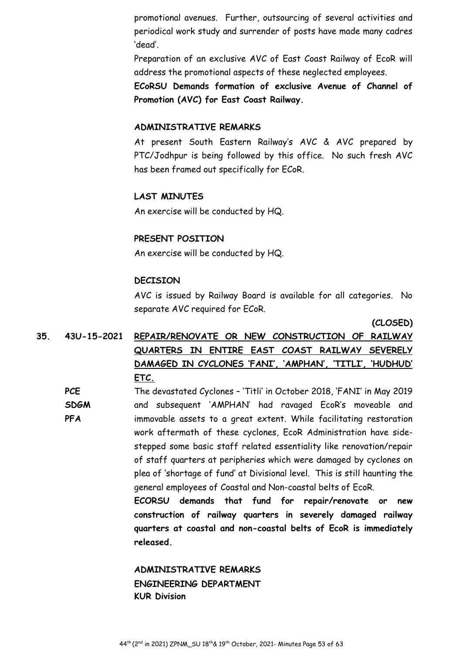promotional avenues. Further, outsourcing of several activities and periodical work study and surrender of posts have made many cadres 'dead'.

Preparation of an exclusive AVC of East Coast Railway of EcoR will address the promotional aspects of these neglected employees.

**ECoRSU Demands formation of exclusive Avenue of Channel of Promotion (AVC) for East Coast Railway.** 

#### **ADMINISTRATIVE REMARKS**

At present South Eastern Railway's AVC & AVC prepared by PTC/Jodhpur is being followed by this office. No such fresh AVC has been framed out specifically for ECoR.

#### **LAST MINUTES**

An exercise will be conducted by HQ.

#### **PRESENT POSITION**

An exercise will be conducted by HQ.

#### **DECISION**

AVC is issued by Railway Board is available for all categories. No separate AVC required for ECoR.

**(CLOSED)**

# **35. 43U-15-2021 REPAIR/RENOVATE OR NEW CONSTRUCTION OF RAILWAY QUARTERS IN ENTIRE EAST COAST RAILWAY SEVERELY DAMAGED IN CYCLONES 'FANI', 'AMPHAN', 'TITLI', 'HUDHUD' ETC.**

**PCE SDGM PFA**  The devastated Cyclones – 'Titli' in October 2018, 'FANI' in May 2019 and subsequent 'AMPHAN' had ravaged EcoR's moveable and immovable assets to a great extent. While facilitating restoration work aftermath of these cyclones, EcoR Administration have sidestepped some basic staff related essentiality like renovation/repair of staff quarters at peripheries which were damaged by cyclones on plea of 'shortage of fund' at Divisional level. This is still haunting the general employees of Coastal and Non-coastal belts of EcoR. **ECORSU demands that fund for repair/renovate or new** 

**construction of railway quarters in severely damaged railway quarters at coastal and non-coastal belts of EcoR is immediately released.** 

# **ADMINISTRATIVE REMARKS ENGINEERING DEPARTMENT KUR Division**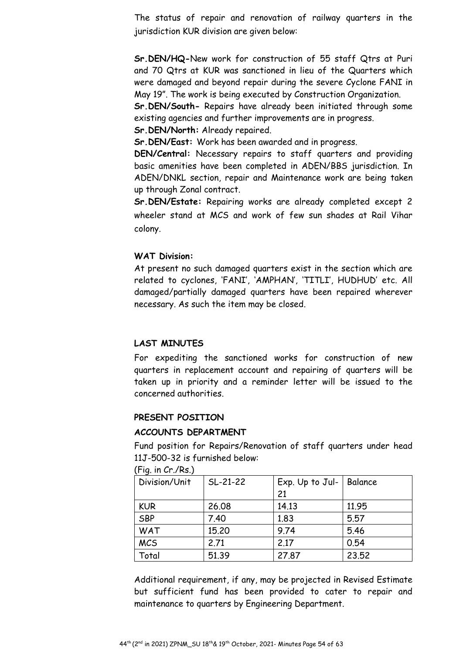The status of repair and renovation of railway quarters in the jurisdiction KUR division are given below:

**Sr.DEN/HQ-**New work for construction of 55 staff Qtrs at Puri and 70 Qtrs at KUR was sanctioned in lieu of the Quarters which were damaged and beyond repair during the severe Cyclone FANI in May 19". The work is being executed by Construction Organization.

**Sr.DEN/South-** Repairs have already been initiated through some existing agencies and further improvements are in progress.

**Sr.DEN/North:** Already repaired.

**Sr.DEN/East:** Work has been awarded and in progress.

**DEN/Central:** Necessary repairs to staff quarters and providing basic amenities have been completed in ADEN/BBS jurisdiction. In ADEN/DNKL section, repair and Maintenance work are being taken up through Zonal contract.

**Sr.DEN/Estate:** Repairing works are already completed except 2 wheeler stand at MCS and work of few sun shades at Rail Vihar colony.

#### **WAT Division:**

At present no such damaged quarters exist in the section which are related to cyclones, 'FANI', 'AMPHAN', 'TITLI', HUDHUD' etc. All damaged/partially damaged quarters have been repaired wherever necessary. As such the item may be closed.

#### **LAST MINUTES**

For expediting the sanctioned works for construction of new quarters in replacement account and repairing of quarters will be taken up in priority and a reminder letter will be issued to the concerned authorities.

#### **PRESENT POSITION**

#### **ACCOUNTS DEPARTMENT**

Fund position for Repairs/Renovation of staff quarters under head 11J-500-32 is furnished below:

| $(1.19, 111 \cup 1.110)$ |            |                 |         |  |  |
|--------------------------|------------|-----------------|---------|--|--|
| Division/Unit            | $SL-21-22$ | Exp. Up to Jul- | Balance |  |  |
|                          |            | 21              |         |  |  |
| <b>KUR</b>               | 26.08      | 14.13           | 11.95   |  |  |
| <b>SBP</b>               | 7.40       | 1.83            | 5.57    |  |  |
| <b>WAT</b>               | 15.20      | 9.74            | 5.46    |  |  |
| <b>MCS</b>               | 2.71       | 2.17            | 0.54    |  |  |
| Total                    | 51.39      | 27.87           | 23.52   |  |  |

 $(Fin \in \mathbb{C}r \text{ /}Re)$ 

Additional requirement, if any, may be projected in Revised Estimate but sufficient fund has been provided to cater to repair and maintenance to quarters by Engineering Department.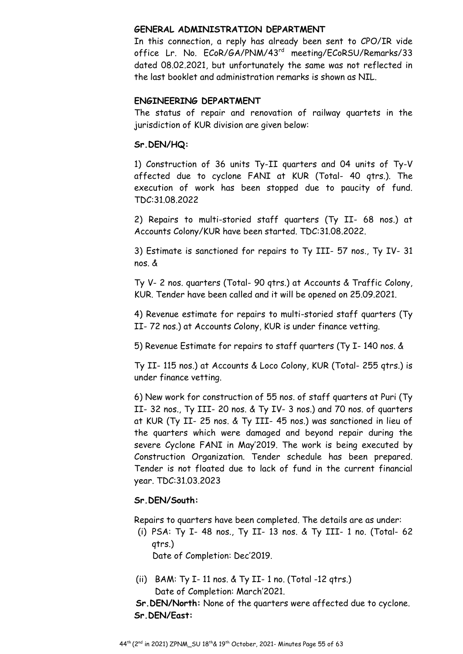#### **GENERAL ADMINISTRATION DEPARTMENT**

In this connection, a reply has already been sent to CPO/IR vide office Lr. No. ECoR/GA/PNM/43<sup>rd</sup> meeting/ECoRSU/Remarks/33 dated 08.02.2021, but unfortunately the same was not reflected in the last booklet and administration remarks is shown as NIL.

# **ENGINEERING DEPARTMENT**

The status of repair and renovation of railway quartets in the jurisdiction of KUR division are given below:

# **Sr.DEN/HQ:**

1) Construction of 36 units Ty-II quarters and 04 units of Ty-V affected due to cyclone FANI at KUR (Total- 40 qtrs.). The execution of work has been stopped due to paucity of fund. TDC:31.08.2022

2) Repairs to multi-storied staff quarters (Ty II- 68 nos.) at Accounts Colony/KUR have been started. TDC:31.08.2022.

3) Estimate is sanctioned for repairs to Ty III- 57 nos., Ty IV- 31 nos. &

Ty V- 2 nos. quarters (Total- 90 qtrs.) at Accounts & Traffic Colony, KUR. Tender have been called and it will be opened on 25.09.2021.

4) Revenue estimate for repairs to multi-storied staff quarters (Ty II- 72 nos.) at Accounts Colony, KUR is under finance vetting.

5) Revenue Estimate for repairs to staff quarters (Ty I- 140 nos. &

Ty II- 115 nos.) at Accounts & Loco Colony, KUR (Total- 255 qtrs.) is under finance vetting.

6) New work for construction of 55 nos. of staff quarters at Puri (Ty II- 32 nos., Ty III- 20 nos. & Ty IV- 3 nos.) and 70 nos. of quarters at KUR (Ty II- 25 nos. & Ty III- 45 nos.) was sanctioned in lieu of the quarters which were damaged and beyond repair during the severe Cyclone FANI in May'2019. The work is being executed by Construction Organization. Tender schedule has been prepared. Tender is not floated due to lack of fund in the current financial year. TDC:31.03.2023

# **Sr.DEN/South:**

Repairs to quarters have been completed. The details are as under:

(i) PSA: Ty I- 48 nos., Ty II- 13 nos. & Ty III- 1 no. (Total- 62 qtrs.)

Date of Completion: Dec'2019.

(ii) BAM: Ty I- 11 nos. & Ty II- 1 no. (Total -12 qtrs.) Date of Completion: March'2021.

**Sr.DEN/North:** None of the quarters were affected due to cyclone. **Sr.DEN/East:**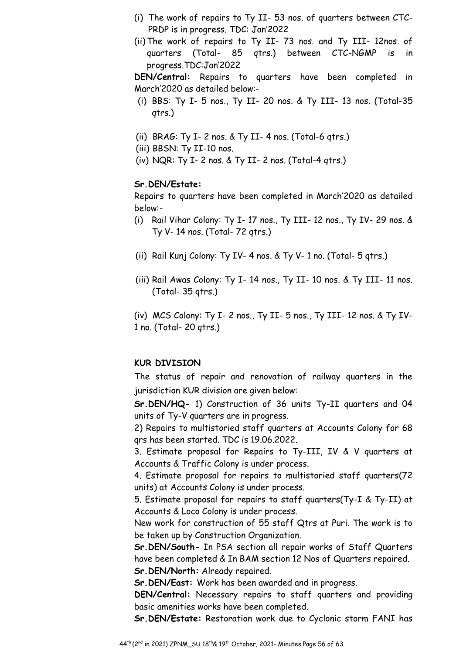- (i) The work of repairs to Ty II- 53 nos. of quarters between CTC-PRDP is in progress. TDC: Jan'2022
- (ii) The work of repairs to Ty II- 73 nos. and Ty III- 12nos. of quarters (Total- 85 qtrs.) between CTC-NGMP is in progress.TDC:Jan'2022

**DEN/Central:** Repairs to quarters have been completed in March'2020 as detailed below:-

- (i) BBS: Ty I- 5 nos., Ty II- 20 nos. & Ty III- 13 nos. (Total-35 qtrs.)
- (ii) BRAG: Ty I- 2 nos. & Ty II- 4 nos. (Total-6 qtrs.)
- (iii) BBSN: Ty II-10 nos.
- (iv) NQR: Ty I- 2 nos. & Ty II- 2 nos. (Total-4 qtrs.)

#### **Sr.DEN/Estate:**

Repairs to quarters have been completed in March'2020 as detailed below:-

- (i) Rail Vihar Colony: Ty I- 17 nos., Ty III- 12 nos., Ty IV- 29 nos. & Ty V- 14 nos. (Total- 72 qtrs.)
- (ii) Rail Kunj Colony: Ty IV- 4 nos. & Ty V- 1 no. (Total- 5 qtrs.)
- (iii) Rail Awas Colony: Ty I- 14 nos., Ty II- 10 nos. & Ty III- 11 nos. (Total- 35 qtrs.)

(iv) MCS Colony: Ty I- 2 nos., Ty II- 5 nos., Ty III- 12 nos. & Ty IV-1 no. (Total- 20 qtrs.)

#### **KUR DIVISION**

The status of repair and renovation of railway quarters in the jurisdiction KUR division are given below:

**Sr.DEN/HQ-** 1) Construction of 36 units Ty-II quarters and 04 units of Ty-V quarters are in progress.

2) Repairs to multistoried staff quarters at Accounts Colony for 68 qrs has been started. TDC is 19.06.2022.

3. Estimate proposal for Repairs to Ty-III, IV & V quarters at Accounts & Traffic Colony is under process.

4. Estimate proposal for repairs to multistoried staff quarters(72 units) at Accounts Colony is under process.

5. Estimate proposal for repairs to staff quarters(Ty-I & Ty-II) at Accounts & Loco Colony is under process.

New work for construction of 55 staff Qtrs at Puri. The work is to be taken up by Construction Organization.

**Sr.DEN/South-** In PSA section all repair works of Staff Quarters have been completed & In BAM section 12 Nos of Quarters repaired. **Sr.DEN/North:** Already repaired.

**Sr.DEN/East:** Work has been awarded and in progress.

**DEN/Central:** Necessary repairs to staff quarters and providing basic amenities works have been completed.

**Sr.DEN/Estate:** Restoration work due to Cyclonic storm FANI has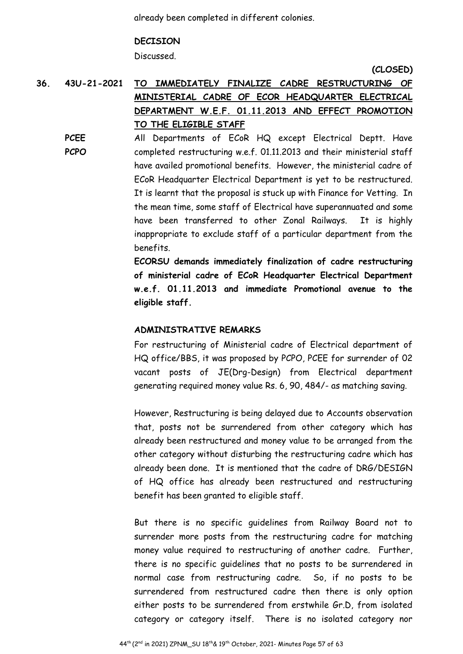already been completed in different colonies.

#### **DECISION**

Discussed.

**(CLOSED)** 

# **36. 43U-21-2021 TO IMMEDIATELY FINALIZE CADRE RESTRUCTURING OF MINISTERIAL CADRE OF ECOR HEADQUARTER ELECTRICAL DEPARTMENT W.E.F. 01.11.2013 AND EFFECT PROMOTION TO THE ELIGIBLE STAFF**

**PCEE PCPO**  All Departments of ECoR HQ except Electrical Deptt. Have completed restructuring w.e.f. 01.11.2013 and their ministerial staff have availed promotional benefits. However, the ministerial cadre of ECoR Headquarter Electrical Department is yet to be restructured. It is learnt that the proposal is stuck up with Finance for Vetting. In the mean time, some staff of Electrical have superannuated and some have been transferred to other Zonal Railways. It is highly inappropriate to exclude staff of a particular department from the benefits.

> **ECORSU demands immediately finalization of cadre restructuring of ministerial cadre of ECoR Headquarter Electrical Department w.e.f. 01.11.2013 and immediate Promotional avenue to the eligible staff.**

#### **ADMINISTRATIVE REMARKS**

For restructuring of Ministerial cadre of Electrical department of HQ office/BBS, it was proposed by PCPO, PCEE for surrender of 02 vacant posts of JE(Drg-Design) from Electrical department generating required money value Rs. 6, 90, 484/- as matching saving.

However, Restructuring is being delayed due to Accounts observation that, posts not be surrendered from other category which has already been restructured and money value to be arranged from the other category without disturbing the restructuring cadre which has already been done. It is mentioned that the cadre of DRG/DESIGN of HQ office has already been restructured and restructuring benefit has been granted to eligible staff.

But there is no specific guidelines from Railway Board not to surrender more posts from the restructuring cadre for matching money value required to restructuring of another cadre. Further, there is no specific guidelines that no posts to be surrendered in normal case from restructuring cadre. So, if no posts to be surrendered from restructured cadre then there is only option either posts to be surrendered from erstwhile Gr.D, from isolated category or category itself. There is no isolated category nor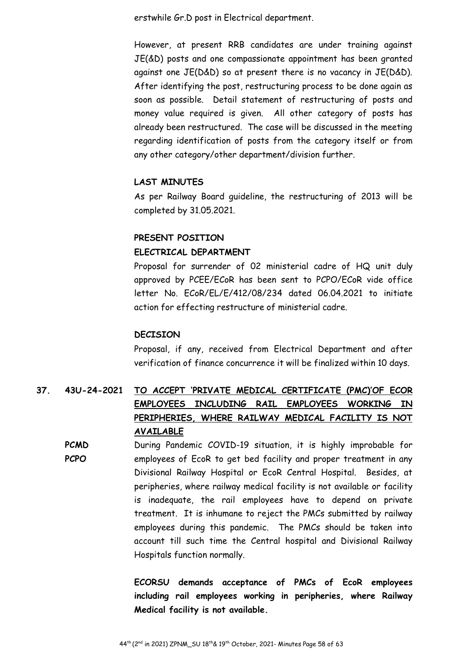erstwhile Gr.D post in Electrical department.

However, at present RRB candidates are under training against JE(&D) posts and one compassionate appointment has been granted against one JE(D&D) so at present there is no vacancy in JE(D&D). After identifying the post, restructuring process to be done again as soon as possible. Detail statement of restructuring of posts and money value required is given. All other category of posts has already been restructured. The case will be discussed in the meeting regarding identification of posts from the category itself or from any other category/other department/division further.

#### **LAST MINUTES**

As per Railway Board guideline, the restructuring of 2013 will be completed by 31.05.2021.

#### **PRESENT POSITION**

#### **ELECTRICAL DEPARTMENT**

Proposal for surrender of 02 ministerial cadre of HQ unit duly approved by PCEE/ECoR has been sent to PCPO/ECoR vide office letter No. ECoR/EL/E/412/08/234 dated 06.04.2021 to initiate action for effecting restructure of ministerial cadre.

#### **DECISION**

Proposal, if any, received from Electrical Department and after verification of finance concurrence it will be finalized within 10 days.

# **37. 43U-24-2021 TO ACCEPT 'PRIVATE MEDICAL CERTIFICATE (PMC)'OF ECOR EMPLOYEES INCLUDING RAIL EMPLOYEES WORKING IN PERIPHERIES, WHERE RAILWAY MEDICAL FACILITY IS NOT AVAILABLE**

**PCMD PCPO**  During Pandemic COVID-19 situation, it is highly improbable for employees of EcoR to get bed facility and proper treatment in any Divisional Railway Hospital or EcoR Central Hospital. Besides, at peripheries, where railway medical facility is not available or facility is inadequate, the rail employees have to depend on private treatment. It is inhumane to reject the PMCs submitted by railway employees during this pandemic. The PMCs should be taken into account till such time the Central hospital and Divisional Railway Hospitals function normally.

> **ECORSU demands acceptance of PMCs of EcoR employees including rail employees working in peripheries, where Railway Medical facility is not available.**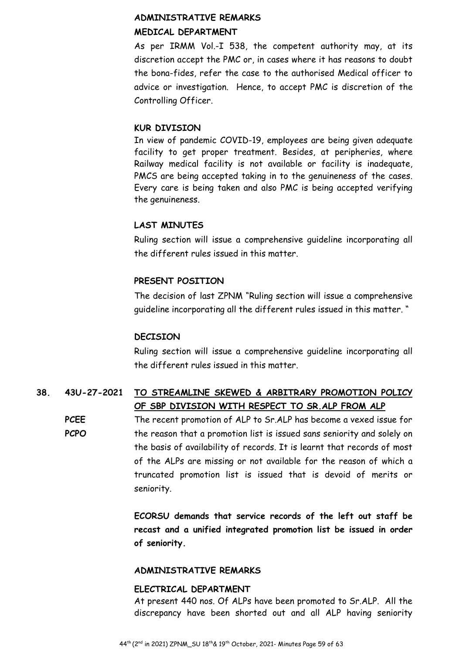# **ADMINISTRATIVE REMARKS MEDICAL DEPARTMENT**

As per IRMM Vol.-I 538, the competent authority may, at its discretion accept the PMC or, in cases where it has reasons to doubt the bona-fides, refer the case to the authorised Medical officer to advice or investigation. Hence, to accept PMC is discretion of the Controlling Officer.

# **KUR DIVISION**

In view of pandemic COVID-19, employees are being given adequate facility to get proper treatment. Besides, at peripheries, where Railway medical facility is not available or facility is inadequate, PMCS are being accepted taking in to the genuineness of the cases. Every care is being taken and also PMC is being accepted verifying the genuineness.

# **LAST MINUTES**

Ruling section will issue a comprehensive guideline incorporating all the different rules issued in this matter.

# **PRESENT POSITION**

The decision of last ZPNM "Ruling section will issue a comprehensive guideline incorporating all the different rules issued in this matter. "

# **DECISION**

Ruling section will issue a comprehensive guideline incorporating all the different rules issued in this matter.

# **38. 43U-27-2021 TO STREAMLINE SKEWED & ARBITRARY PROMOTION POLICY OF SBP DIVISION WITH RESPECT TO SR.ALP FROM ALP**

**PCEE PCPO**  The recent promotion of ALP to Sr.ALP has become a vexed issue for the reason that a promotion list is issued sans seniority and solely on the basis of availability of records. It is learnt that records of most of the ALPs are missing or not available for the reason of which a truncated promotion list is issued that is devoid of merits or seniority.

> **ECORSU demands that service records of the left out staff be recast and a unified integrated promotion list be issued in order of seniority.**

# **ADMINISTRATIVE REMARKS**

#### **ELECTRICAL DEPARTMENT**

At present 440 nos. Of ALPs have been promoted to Sr.ALP. All the discrepancy have been shorted out and all ALP having seniority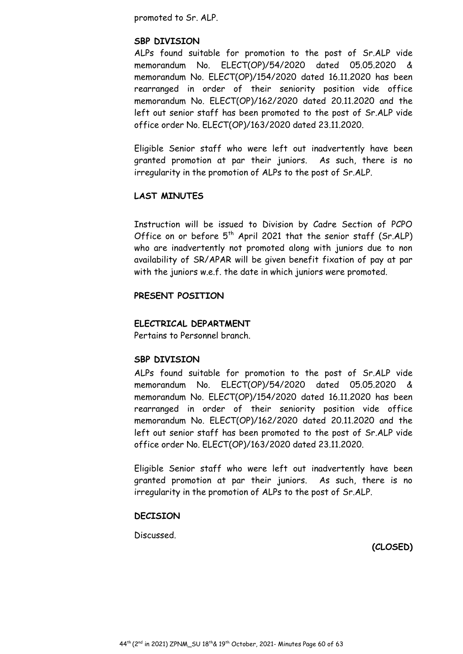promoted to Sr. ALP.

#### **SBP DIVISION**

ALPs found suitable for promotion to the post of Sr.ALP vide memorandum No. ELECT(OP)/54/2020 dated 05.05.2020 & memorandum No. ELECT(OP)/154/2020 dated 16.11.2020 has been rearranged in order of their seniority position vide office memorandum No. ELECT(OP)/162/2020 dated 20.11.2020 and the left out senior staff has been promoted to the post of Sr.ALP vide office order No. ELECT(OP)/163/2020 dated 23.11.2020.

Eligible Senior staff who were left out inadvertently have been granted promotion at par their juniors. As such, there is no irregularity in the promotion of ALPs to the post of Sr.ALP.

#### **LAST MINUTES**

Instruction will be issued to Division by Cadre Section of PCPO Office on or before  $5<sup>th</sup>$  April 2021 that the senior staff (Sr.ALP) who are inadvertently not promoted along with juniors due to non availability of SR/APAR will be given benefit fixation of pay at par with the juniors w.e.f. the date in which juniors were promoted.

## **PRESENT POSITION**

#### **ELECTRICAL DEPARTMENT**

Pertains to Personnel branch.

#### **SBP DIVISION**

ALPs found suitable for promotion to the post of Sr.ALP vide memorandum No. ELECT(OP)/54/2020 dated 05.05.2020 & memorandum No. ELECT(OP)/154/2020 dated 16.11.2020 has been rearranged in order of their seniority position vide office memorandum No. ELECT(OP)/162/2020 dated 20.11.2020 and the left out senior staff has been promoted to the post of Sr.ALP vide office order No. ELECT(OP)/163/2020 dated 23.11.2020.

Eligible Senior staff who were left out inadvertently have been granted promotion at par their juniors. As such, there is no irregularity in the promotion of ALPs to the post of Sr.ALP.

#### **DECISION**

Discussed.

**(CLOSED)**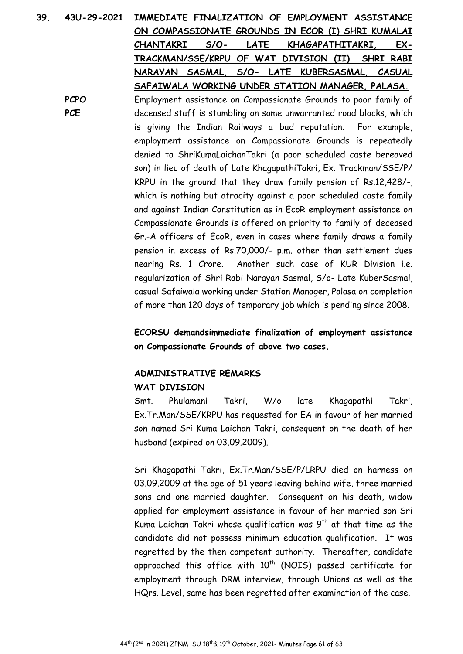| 39. | 43U-29-2021                                                                      | IMMEDIATE FINALIZATION OF EMPLOYMENT ASSISTANCE                      |  |  |
|-----|----------------------------------------------------------------------------------|----------------------------------------------------------------------|--|--|
|     |                                                                                  | ON COMPASSIONATE GROUNDS IN ECOR (I) SHRI KUMALAI                    |  |  |
|     |                                                                                  | $S/O-$<br>LATE<br>KHAGAPATHITAKRI,<br>EX-<br><b>CHANTAKRI</b>        |  |  |
|     |                                                                                  | TRACKMAN/SSE/KRPU OF WAT DIVISION (II)<br>SHRI RABI                  |  |  |
|     |                                                                                  | NARAYAN SASMAL, S/O- LATE KUBERSASMAL, CASUAL                        |  |  |
|     |                                                                                  | SAFAIWALA WORKING UNDER STATION MANAGER, PALASA.                     |  |  |
|     | <b>PCPO</b>                                                                      | Employment assistance on Compassionate Grounds to poor family of     |  |  |
|     | <b>PCE</b><br>deceased staff is stumbling on some unwarranted road blocks, which |                                                                      |  |  |
|     |                                                                                  | is giving the Indian Railways a bad reputation. For example,         |  |  |
|     |                                                                                  | employment assistance on Compassionate Grounds is repeatedly         |  |  |
|     |                                                                                  | denied to ShriKumaLaichanTakri (a poor scheduled caste bereaved      |  |  |
|     |                                                                                  | son) in lieu of death of Late KhagapathiTakri, Ex. Trackman/SSE/P/   |  |  |
|     |                                                                                  | KRPU in the ground that they draw family pension of Rs.12,428/-,     |  |  |
|     |                                                                                  | which is nothing but atrocity against a poor scheduled caste family  |  |  |
|     |                                                                                  | and against Indian Constitution as in EcoR employment assistance on  |  |  |
|     |                                                                                  | Compassionate Grounds is offered on priority to family of deceased   |  |  |
|     |                                                                                  | Gr.-A officers of EcoR, even in cases where family draws a family    |  |  |
|     |                                                                                  | pension in excess of Rs.70,000/- p.m. other than settlement dues     |  |  |
|     |                                                                                  | nearing Rs. 1 Crore. Another such case of KUR Division i.e.          |  |  |
|     |                                                                                  | regularization of Shri Rabi Narayan Sasmal, S/o- Late KuberSasmal,   |  |  |
|     |                                                                                  |                                                                      |  |  |
|     |                                                                                  | casual Safaiwala working under Station Manager, Palasa on completion |  |  |

of more than 120 days of temporary job which is pending since 2008.

**ECORSU demandsimmediate finalization of employment assistance on Compassionate Grounds of above two cases.** 

# **ADMINISTRATIVE REMARKS WAT DIVISION**

Smt. Phulamani Takri, W/o late Khagapathi Takri, Ex.Tr.Man/SSE/KRPU has requested for EA in favour of her married son named Sri Kuma Laichan Takri, consequent on the death of her husband (expired on 03.09.2009).

Sri Khagapathi Takri, Ex.Tr.Man/SSE/P/LRPU died on harness on 03.09.2009 at the age of 51 years leaving behind wife, three married sons and one married daughter. Consequent on his death, widow applied for employment assistance in favour of her married son Sri Kuma Laichan Takri whose qualification was  $9<sup>th</sup>$  at that time as the candidate did not possess minimum education qualification. It was regretted by the then competent authority. Thereafter, candidate approached this office with  $10<sup>th</sup>$  (NOIS) passed certificate for employment through DRM interview, through Unions as well as the HQrs. Level, same has been regretted after examination of the case.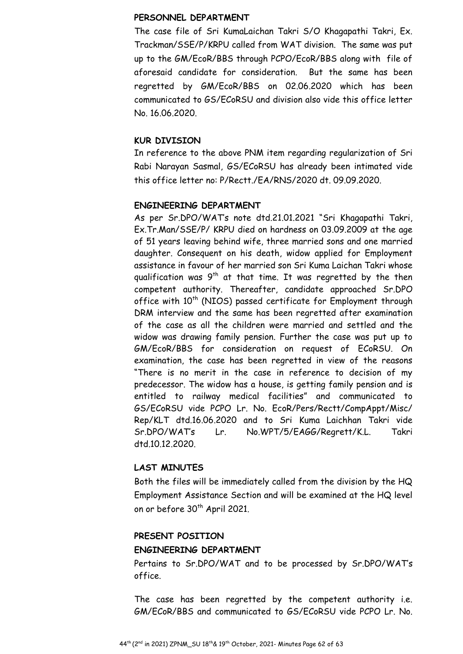#### **PERSONNEL DEPARTMENT**

The case file of Sri KumaLaichan Takri S/O Khagapathi Takri, Ex. Trackman/SSE/P/KRPU called from WAT division. The same was put up to the GM/EcoR/BBS through PCPO/EcoR/BBS along with file of aforesaid candidate for consideration. But the same has been regretted by GM/EcoR/BBS on 02.06.2020 which has been communicated to GS/ECoRSU and division also vide this office letter No. 16.06.2020.

#### **KUR DIVISION**

In reference to the above PNM item regarding regularization of Sri Rabi Narayan Sasmal, GS/ECoRSU has already been intimated vide this office letter no: P/Rectt./EA/RNS/2020 dt. 09.09.2020.

#### **ENGINEERING DEPARTMENT**

As per Sr.DPO/WAT's note dtd.21.01.2021 "Sri Khagapathi Takri, Ex.Tr.Man/SSE/P/ KRPU died on hardness on 03.09.2009 at the age of 51 years leaving behind wife, three married sons and one married daughter. Consequent on his death, widow applied for Employment assistance in favour of her married son Sri Kuma Laichan Takri whose qualification was  $9<sup>th</sup>$  at that time. It was regretted by the then competent authority. Thereafter, candidate approached Sr.DPO office with  $10^{th}$  (NIOS) passed certificate for Employment through DRM interview and the same has been regretted after examination of the case as all the children were married and settled and the widow was drawing family pension. Further the case was put up to GM/EcoR/BBS for consideration on request of ECoRSU. On examination, the case has been regretted in view of the reasons "There is no merit in the case in reference to decision of my predecessor. The widow has a house, is getting family pension and is entitled to railway medical facilities" and communicated to GS/ECoRSU vide PCPO Lr. No. EcoR/Pers/Rectt/CompAppt/Misc/ Rep/KLT dtd.16.06.2020 and to Sri Kuma Laichhan Takri vide Sr.DPO/WAT's Lr. No.WPT/5/EAGG/Regrett/K.L. Takri dtd.10.12.2020.

#### **LAST MINUTES**

Both the files will be immediately called from the division by the HQ Employment Assistance Section and will be examined at the HQ level on or before 30<sup>th</sup> April 2021.

#### **PRESENT POSITION**

#### **ENGINEERING DEPARTMENT**

Pertains to Sr.DPO/WAT and to be processed by Sr.DPO/WAT's office.

The case has been regretted by the competent authority i.e. GM/ECoR/BBS and communicated to GS/ECoRSU vide PCPO Lr. No.